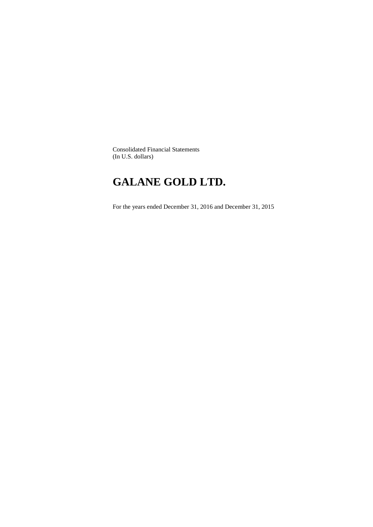Consolidated Financial Statements (In U.S. dollars)

# **GALANE GOLD LTD.**

For the years ended December 31, 2016 and December 31, 2015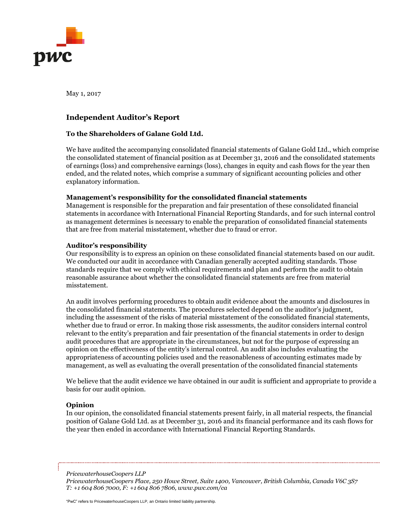

May 1, 2017

### **Independent Auditor's Report**

### **To the Shareholders of Galane Gold Ltd.**

We have audited the accompanying consolidated financial statements of Galane Gold Ltd., which comprise the consolidated statement of financial position as at December 31, 2016 and the consolidated statements of earnings (loss) and comprehensive earnings (loss), changes in equity and cash flows for the year then ended, and the related notes, which comprise a summary of significant accounting policies and other explanatory information.

### **Management's responsibility for the consolidated financial statements**

Management is responsible for the preparation and fair presentation of these consolidated financial statements in accordance with International Financial Reporting Standards, and for such internal control as management determines is necessary to enable the preparation of consolidated financial statements that are free from material misstatement, whether due to fraud or error.

### **Auditor's responsibility**

Our responsibility is to express an opinion on these consolidated financial statements based on our audit. We conducted our audit in accordance with Canadian generally accepted auditing standards. Those standards require that we comply with ethical requirements and plan and perform the audit to obtain reasonable assurance about whether the consolidated financial statements are free from material misstatement.

An audit involves performing procedures to obtain audit evidence about the amounts and disclosures in the consolidated financial statements. The procedures selected depend on the auditor's judgment, including the assessment of the risks of material misstatement of the consolidated financial statements, whether due to fraud or error. In making those risk assessments, the auditor considers internal control relevant to the entity's preparation and fair presentation of the financial statements in order to design audit procedures that are appropriate in the circumstances, but not for the purpose of expressing an opinion on the effectiveness of the entity's internal control. An audit also includes evaluating the appropriateness of accounting policies used and the reasonableness of accounting estimates made by management, as well as evaluating the overall presentation of the consolidated financial statements

We believe that the audit evidence we have obtained in our audit is sufficient and appropriate to provide a basis for our audit opinion.

### **Opinion**

In our opinion, the consolidated financial statements present fairly, in all material respects, the financial position of Galane Gold Ltd. as at December 31, 2016 and its financial performance and its cash flows for the year then ended in accordance with International Financial Reporting Standards.

*PricewaterhouseCoopers LLP*

*PricewaterhouseCoopers Place, 250 Howe Street, Suite 1400, Vancouver, British Columbia, Canada V6C 3S7 T: +1 604 806 7000, F: +1 604 806 7806, www.pwc.com/ca*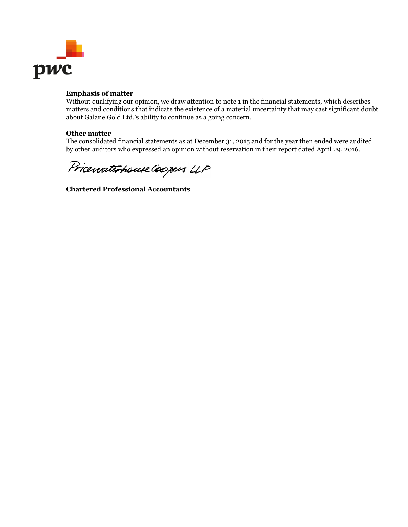

### **Emphasis of matter**

Without qualifying our opinion, we draw attention to note 1 in the financial statements, which describes matters and conditions that indicate the existence of a material uncertainty that may cast significant doubt about Galane Gold Ltd.'s ability to continue as a going concern.

### **Other matter**

The consolidated financial statements as at December 31, 2015 and for the year then ended were audited by other auditors who expressed an opinion without reservation in their report dated April 29, 2016.

Pricewaterhouse Coopers LLP

**Chartered Professional Accountants**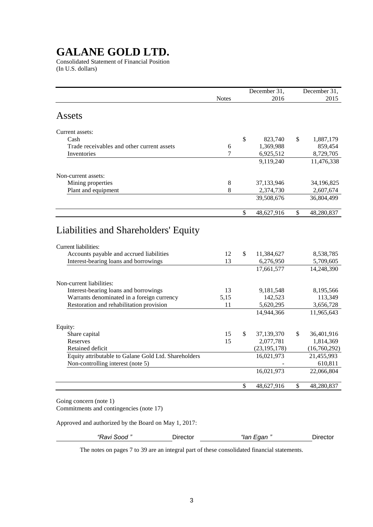Consolidated Statement of Financial Position (In U.S. dollars)

|                                                                                                                                                   | <b>Notes</b> | December 31,<br>2016          | December 31,<br>2015   |  |
|---------------------------------------------------------------------------------------------------------------------------------------------------|--------------|-------------------------------|------------------------|--|
| Assets                                                                                                                                            |              |                               |                        |  |
| Current assets:                                                                                                                                   |              |                               |                        |  |
| Cash                                                                                                                                              |              | \$<br>823,740                 | \$<br>1,887,179        |  |
| Trade receivables and other current assets                                                                                                        | 6            | 1,369,988                     | 859,454                |  |
| Inventories                                                                                                                                       | 7            | 6,925,512                     | 8,729,705              |  |
|                                                                                                                                                   |              | 9,119,240                     | 11,476,338             |  |
| Non-current assets:                                                                                                                               |              |                               |                        |  |
| Mining properties                                                                                                                                 | 8            | 37,133,946                    | 34,196,825             |  |
| Plant and equipment                                                                                                                               | 8            | 2,374,730                     | 2,607,674              |  |
|                                                                                                                                                   |              | 39,508,676                    | 36,804,499             |  |
|                                                                                                                                                   |              | \$<br>48,627,916              | \$<br>48,280,837       |  |
| Liabilities and Shareholders' Equity<br>Current liabilities:<br>Accounts payable and accrued liabilities<br>Interest-bearing loans and borrowings | 12<br>13     | \$<br>11,384,627<br>6,276,950 | 8,538,785<br>5,709,605 |  |
|                                                                                                                                                   |              | 17,661,577                    | 14,248,390             |  |
| Non-current liabilities:                                                                                                                          |              |                               |                        |  |
| Interest-bearing loans and borrowings                                                                                                             | 13           | 9,181,548                     | 8,195,566              |  |
| Warrants denominated in a foreign currency                                                                                                        | 5,15         | 142,523                       | 113,349                |  |
| Restoration and rehabilitation provision                                                                                                          | 11           | 5,620,295                     | 3,656,728              |  |
|                                                                                                                                                   |              | 14,944,366                    | 11,965,643             |  |
| Equity:                                                                                                                                           |              |                               |                        |  |
| Share capital                                                                                                                                     | 15           | \$<br>37,139,370              | \$<br>36,401,916       |  |
| Reserves                                                                                                                                          | 15           | 2,077,781                     | 1,814,369              |  |
| Retained deficit                                                                                                                                  |              | (23, 195, 178)                | (16,760,292)           |  |
| Equity attributable to Galane Gold Ltd. Shareholders                                                                                              |              | 16,021,973                    | 21,455,993             |  |
| Non-controlling interest (note 5)                                                                                                                 |              |                               | 610,811                |  |
|                                                                                                                                                   |              | 16,021,973                    | 22,066,804             |  |
|                                                                                                                                                   |              | \$<br>48,627,916              | \$<br>48,280,837       |  |
| Going concern (note 1)<br>Commitments and contingencies (note 17)                                                                                 |              |                               |                        |  |

Approved and authorized by the Board on May 1, 2017:

| sood<br>savı - | שוכΩ | -<br>lan<br>uar | שוו∪ |
|----------------|------|-----------------|------|
|                |      |                 |      |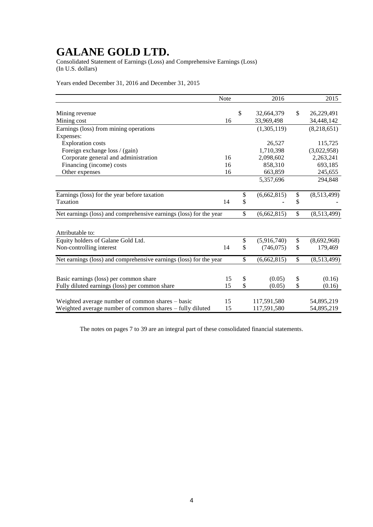Consolidated Statement of Earnings (Loss) and Comprehensive Earnings (Loss) (In U.S. dollars)

Years ended December 31, 2016 and December 31, 2015

|                                                                    | Note | 2016              | 2015              |
|--------------------------------------------------------------------|------|-------------------|-------------------|
|                                                                    |      |                   |                   |
| Mining revenue                                                     |      | \$<br>32,664,379  | \$<br>26,229,491  |
| Mining cost                                                        | 16   | 33,969,498        | 34,448,142        |
| Earnings (loss) from mining operations                             |      | (1,305,119)       | (8,218,651)       |
| Expenses:                                                          |      |                   |                   |
| <b>Exploration costs</b>                                           |      | 26,527            | 115,725           |
| Foreign exchange loss / (gain)                                     |      | 1,710,398         | (3,022,958)       |
| Corporate general and administration                               | 16   | 2,098,602         | 2,263,241         |
| Financing (income) costs                                           | 16   | 858,310           | 693,185           |
| Other expenses                                                     | 16   | 663,859           | 245,655           |
|                                                                    |      | 5,357,696         | 294,848           |
| Earnings (loss) for the year before taxation                       |      | \$<br>(6,662,815) | \$<br>(8,513,499) |
| Taxation                                                           | 14   | \$                | \$                |
| Net earnings (loss) and comprehensive earnings (loss) for the year |      | \$<br>(6,662,815) | \$<br>(8,513,499) |
| Attributable to:                                                   |      |                   |                   |
| Equity holders of Galane Gold Ltd.                                 |      | \$<br>(5,916,740) | \$<br>(8,692,968) |
| Non-controlling interest                                           | 14   | \$<br>(746, 075)  | \$<br>179,469     |
| Net earnings (loss) and comprehensive earnings (loss) for the year |      | \$<br>(6,662,815) | \$<br>(8,513,499) |
|                                                                    |      |                   |                   |
| Basic earnings (loss) per common share                             | 15   | \$<br>(0.05)      | \$<br>(0.16)      |
| Fully diluted earnings (loss) per common share                     | 15   | \$<br>(0.05)      | \$<br>(0.16)      |
| Weighted average number of common shares – basic                   | 15   | 117,591,580       | 54,895,219        |
| Weighted average number of common shares - fully diluted           | 15   | 117,591,580       | 54,895,219        |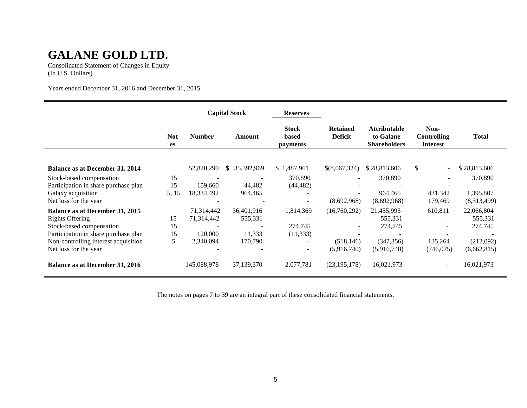Consolidated Statement of Changes in Equity (In U.S. Dollars)

Years ended December 31, 2016 and December 31, 2015

|                                        |                         |               | <b>Capital Stock</b> | <b>Reserves</b>                   |                                   |                                                         |                                               |              |
|----------------------------------------|-------------------------|---------------|----------------------|-----------------------------------|-----------------------------------|---------------------------------------------------------|-----------------------------------------------|--------------|
|                                        | <b>Not</b><br><b>es</b> | <b>Number</b> | Amount               | <b>Stock</b><br>based<br>payments | <b>Retained</b><br><b>Deficit</b> | <b>Attributable</b><br>to Galane<br><b>Shareholders</b> | Non-<br><b>Controlling</b><br><b>Interest</b> | <b>Total</b> |
|                                        |                         |               |                      |                                   |                                   |                                                         |                                               |              |
| Balance as at December 31, 2014        |                         | 52,820,290    | 35,392,969<br>S.     | \$1,487,961                       | \$(8,067,324)                     | \$28,813,606                                            | \$<br>$\overline{\phantom{a}}$                | \$28,813,606 |
| Stock-based compensation               | 15                      |               |                      | 370,890                           |                                   | 370,890                                                 |                                               | 370,890      |
| Participation in share purchase plan   | 15                      | 159,660       | 44,482               | (44, 482)                         |                                   |                                                         |                                               |              |
| Galaxy acquisition                     | 5, 15                   | 18,334,492    | 964,465              | $\overline{\phantom{0}}$          |                                   | 964,465                                                 | 431,342                                       | 1,395,807    |
| Net loss for the year                  |                         |               |                      | $\overline{\phantom{a}}$          | (8,692,968)                       | (8,692,968)                                             | 179,469                                       | (8,513,499)  |
| Balance as at December 31, 2015        |                         | 71,314,442    | 36,401,916           | 1,814,369                         | (16,760,292)                      | 21,455,993                                              | 610,811                                       | 22,066,804   |
| <b>Rights Offering</b>                 | 15                      | 71,314,442    | 555,331              |                                   |                                   | 555,331                                                 |                                               | 555,331      |
| Stock-based compensation               | 15                      |               |                      | 274,745                           |                                   | 274,745                                                 |                                               | 274,745      |
| Participation in share purchase plan   | 15                      | 120,000       | 11,333               | (11, 333)                         |                                   |                                                         |                                               |              |
| Non-controlling interest acquisition   | 5                       | 2,340,094     | 170,790              |                                   | (518, 146)                        | (347, 356)                                              | 135,264                                       | (212,092)    |
| Net loss for the year                  |                         |               |                      | ٠                                 | (5,916,740)                       | (5,916,740)                                             | (746, 075)                                    | (6,662,815)  |
| <b>Balance as at December 31, 2016</b> |                         | 145,088,978   | 37,139,370           | 2,077,781                         | (23, 195, 178)                    | 16,021,973                                              |                                               | 16,021,973   |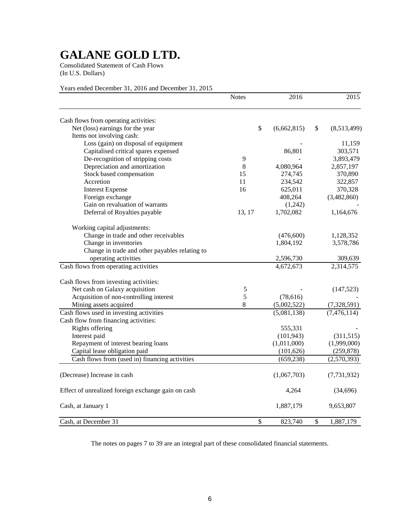Consolidated Statement of Cash Flows (In U.S. Dollars)

### Years ended December 31, 2016 and December 31, 2015

|                                                    | <b>Notes</b> | 2016        |                           | 2015          |
|----------------------------------------------------|--------------|-------------|---------------------------|---------------|
| Cash flows from operating activities:              |              |             |                           |               |
| Net (loss) earnings for the year                   | \$           | (6,662,815) | $\boldsymbol{\mathsf{S}}$ | (8,513,499)   |
| Items not involving cash:                          |              |             |                           |               |
| Loss (gain) on disposal of equipment               |              |             |                           | 11,159        |
| Capitalised critical spares expensed               |              | 86,801      |                           | 303,571       |
| De-recognition of stripping costs                  | 9            |             |                           | 3,893,479     |
| Depreciation and amortization                      | 8            | 4,080,964   |                           | 2,857,197     |
| Stock based compensation                           | 15           | 274,745     |                           | 370,890       |
| Accretion                                          | 11           | 234,542     |                           | 322,857       |
| <b>Interest Expense</b>                            | 16           | 625,011     |                           | 370,328       |
| Foreign exchange                                   |              | 408,264     |                           | (3,482,860)   |
| Gain on revaluation of warrants                    |              | (1,242)     |                           |               |
| Deferral of Royalties payable                      | 13, 17       | 1,702,082   |                           | 1,164,676     |
| Working capital adjustments:                       |              |             |                           |               |
| Change in trade and other receivables              |              | (476,600)   |                           | 1,128,352     |
| Change in inventories                              |              | 1,804,192   |                           | 3,578,786     |
| Change in trade and other payables relating to     |              |             |                           |               |
| operating activities                               |              | 2,596,730   |                           | 309,639       |
| Cash flows from operating activities               |              | 4,672,673   |                           | 2,314,575     |
| Cash flows from investing activities:              |              |             |                           |               |
| Net cash on Galaxy acquisition                     | 5            |             |                           | (147, 523)    |
| Acquisition of non-controlling interest            | 5            | (78, 616)   |                           |               |
| Mining assets acquired                             | $8\,$        | (5,002,522) |                           | (7,328,591)   |
| Cash flows used in investing activities            |              | (5,081,138) |                           | (7, 476, 114) |
| Cash flow from financing activities:               |              |             |                           |               |
| Rights offering                                    |              | 555,331     |                           |               |
| Interest paid                                      |              | (101, 943)  |                           | (311, 515)    |
| Repayment of interest bearing loans                |              | (1,011,000) |                           | (1,999,000)   |
| Capital lease obligation paid                      |              | (101, 626)  |                           | (259, 878)    |
| Cash flows from (used in) financing activities     |              | (659, 238)  |                           | (2,570,393)   |
| (Decrease) Increase in cash                        |              | (1,067,703) |                           | (7, 731, 932) |
| Effect of unrealized foreign exchange gain on cash |              | 4,264       |                           | (34,696)      |
| Cash, at January 1                                 |              | 1,887,179   |                           | 9,653,807     |
| Cash, at December 31                               | \$           | 823,740     | \$                        | 1,887,179     |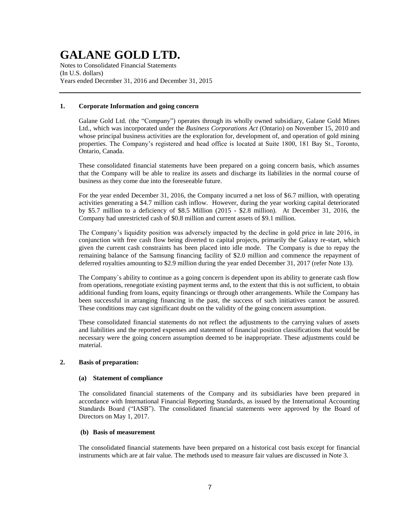Notes to Consolidated Financial Statements (In U.S. dollars) Years ended December 31, 2016 and December 31, 2015

### **1. Corporate Information and going concern**

Galane Gold Ltd. (the "Company") operates through its wholly owned subsidiary, Galane Gold Mines Ltd., which was incorporated under the *Business Corporations Act* (Ontario) on November 15, 2010 and whose principal business activities are the exploration for, development of, and operation of gold mining properties. The Company's registered and head office is located at Suite 1800, 181 Bay St., Toronto, Ontario, Canada.

These consolidated financial statements have been prepared on a going concern basis, which assumes that the Company will be able to realize its assets and discharge its liabilities in the normal course of business as they come due into the foreseeable future.

For the year ended December 31, 2016, the Company incurred a net loss of \$6.7 million, with operating activities generating a \$4.7 million cash inflow. However, during the year working capital deteriorated by \$5.7 million to a deficiency of \$8.5 Million (2015 - \$2.8 million). At December 31, 2016, the Company had unrestricted cash of \$0.8 million and current assets of \$9.1 million.

The Company's liquidity position was adversely impacted by the decline in gold price in late 2016, in conjunction with free cash flow being diverted to capital projects, primarily the Galaxy re-start, which given the current cash constraints has been placed into idle mode. The Company is due to repay the remaining balance of the Samsung financing facility of \$2.0 million and commence the repayment of deferred royalties amounting to \$2.9 million during the year ended December 31, 2017 (refer Note 13).

The Company`s ability to continue as a going concern is dependent upon its ability to generate cash flow from operations, renegotiate existing payment terms and, to the extent that this is not sufficient, to obtain additional funding from loans, equity financings or through other arrangements. While the Company has been successful in arranging financing in the past, the success of such initiatives cannot be assured. These conditions may cast significant doubt on the validity of the going concern assumption.

These consolidated financial statements do not reflect the adjustments to the carrying values of assets and liabilities and the reported expenses and statement of financial position classifications that would be necessary were the going concern assumption deemed to be inappropriate. These adjustments could be material.

### **2. Basis of preparation:**

### **(a) Statement of compliance**

The consolidated financial statements of the Company and its subsidiaries have been prepared in accordance with International Financial Reporting Standards, as issued by the International Accounting Standards Board ("IASB"). The consolidated financial statements were approved by the Board of Directors on May 1, 2017.

### **(b) Basis of measurement**

The consolidated financial statements have been prepared on a historical cost basis except for financial instruments which are at fair value. The methods used to measure fair values are discussed in Note 3.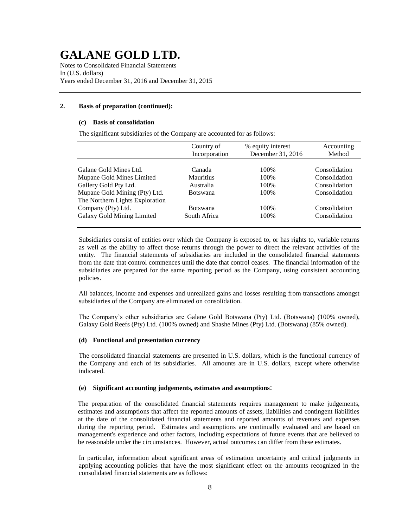Notes to Consolidated Financial Statements In (U.S. dollars) Years ended December 31, 2016 and December 31, 2015

### **2. Basis of preparation (continued):**

#### **(c) Basis of consolidation**

The significant subsidiaries of the Company are accounted for as follows:

|                                 | Country of<br>Incorporation | % equity interest<br>December 31, 2016 | Accounting<br>Method |
|---------------------------------|-----------------------------|----------------------------------------|----------------------|
|                                 |                             |                                        |                      |
| Galane Gold Mines Ltd.          | Canada                      | 100\%                                  | Consolidation        |
| Mupane Gold Mines Limited       | <b>Mauritius</b>            | 100%                                   | Consolidation        |
| Gallery Gold Pty Ltd.           | Australia                   | 100\%                                  | Consolidation        |
| Mupane Gold Mining (Pty) Ltd.   | <b>Botswana</b>             | 100%                                   | Consolidation        |
| The Northern Lights Exploration |                             |                                        |                      |
| Company (Pty) Ltd.              | <b>Botswana</b>             | 100%                                   | Consolidation        |
| Galaxy Gold Mining Limited      | South Africa                | 100%                                   | Consolidation        |
|                                 |                             |                                        |                      |

Subsidiaries consist of entities over which the Company is exposed to, or has rights to, variable returns as well as the ability to affect those returns through the power to direct the relevant activities of the entity. The financial statements of subsidiaries are included in the consolidated financial statements from the date that control commences until the date that control ceases. The financial information of the subsidiaries are prepared for the same reporting period as the Company, using consistent accounting policies.

All balances, income and expenses and unrealized gains and losses resulting from transactions amongst subsidiaries of the Company are eliminated on consolidation.

The Company's other subsidiaries are Galane Gold Botswana (Pty) Ltd. (Botswana) (100% owned), Galaxy Gold Reefs (Pty) Ltd. (100% owned) and Shashe Mines (Pty) Ltd. (Botswana) (85% owned).

### **(d) Functional and presentation currency**

The consolidated financial statements are presented in U.S. dollars, which is the functional currency of the Company and each of its subsidiaries. All amounts are in U.S. dollars, except where otherwise indicated.

### **(e) Significant accounting judgements, estimates and assumptions**:

The preparation of the consolidated financial statements requires management to make judgements, estimates and assumptions that affect the reported amounts of assets, liabilities and contingent liabilities at the date of the consolidated financial statements and reported amounts of revenues and expenses during the reporting period. Estimates and assumptions are continually evaluated and are based on management's experience and other factors, including expectations of future events that are believed to be reasonable under the circumstances. However, actual outcomes can differ from these estimates.

In particular, information about significant areas of estimation uncertainty and critical judgments in applying accounting policies that have the most significant effect on the amounts recognized in the consolidated financial statements are as follows: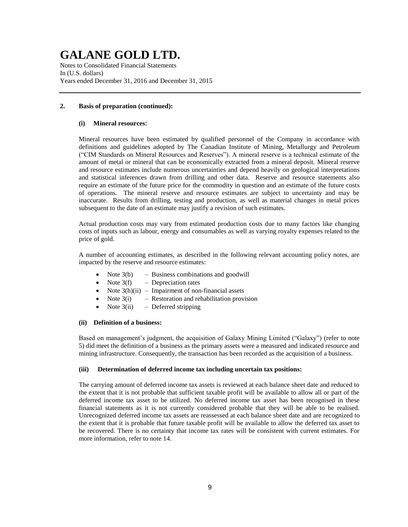Notes to Consolidated Financial Statements In (U.S. dollars) Years ended December 31, 2016 and December 31, 2015

### **2. Basis of preparation (continued):**

### **(i) Mineral resources**:

Mineral resources have been estimated by qualified personnel of the Company in accordance with definitions and guidelines adopted by The Canadian Institute of Mining, Metallurgy and Petroleum ("CIM Standards on Mineral Resources and Reserves"). A mineral reserve is a technical estimate of the amount of metal or mineral that can be economically extracted from a mineral deposit. Mineral reserve and resource estimates include numerous uncertainties and depend heavily on geological interpretations and statistical inferences drawn from drilling and other data. Reserve and resource statements also require an estimate of the future price for the commodity in question and an estimate of the future costs of operations. The mineral reserve and resource estimates are subject to uncertainty and may be inaccurate. Results from drilling, testing and production, as well as material changes in metal prices subsequent to the date of an estimate may justify a revision of such estimates.

Actual production costs may vary from estimated production costs due to many factors like changing costs of inputs such as labour, energy and consumables as well as varying royalty expenses related to the price of gold.

A number of accounting estimates, as described in the following relevant accounting policy notes, are impacted by the reserve and resource estimates:

- Note  $3(b)$  Business combinations and goodwill
	- Note  $3(f)$  Depreciation rates
- Note  $3(h)(ii)$  Impairment of non-financial assets
- Note  $3(i)$  Restoration and rehabilitation provision
- Note  $3(ii)$  Deferred stripping

### **(ii) Definition of a business:**

Based on management's judgment, the acquisition of Galaxy Mining Limited ("Galaxy") (refer to note 5) did meet the definition of a business as the primary assets were a measured and indicated resource and mining infrastructure. Consequently, the transaction has been recorded as the acquisition of a business.

### **(iii) Determination of deferred income tax including uncertain tax positions:**

The carrying amount of deferred income tax assets is reviewed at each balance sheet date and reduced to the extent that it is not probable that sufficient taxable profit will be available to allow all or part of the deferred income tax asset to be utilized. No deferred income tax asset has been recognised in these financial statements as it is not currently considered probable that they will be able to be realised. Unrecognized deferred income tax assets are reassessed at each balance sheet date and are recognized to the extent that it is probable that future taxable profit will be available to allow the deferred tax asset to be recovered. There is no certainty that income tax rates will be consistent with current estimates. For more information, refer to note 14.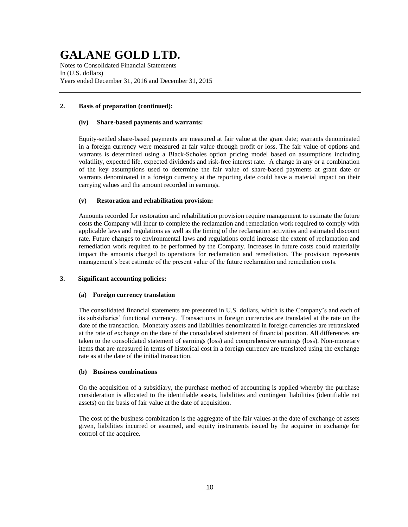Notes to Consolidated Financial Statements In (U.S. dollars) Years ended December 31, 2016 and December 31, 2015

### **2. Basis of preparation (continued):**

#### **(iv) Share-based payments and warrants:**

Equity-settled share-based payments are measured at fair value at the grant date; warrants denominated in a foreign currency were measured at fair value through profit or loss. The fair value of options and warrants is determined using a Black-Scholes option pricing model based on assumptions including volatility, expected life, expected dividends and risk-free interest rate. A change in any or a combination of the key assumptions used to determine the fair value of share-based payments at grant date or warrants denominated in a foreign currency at the reporting date could have a material impact on their carrying values and the amount recorded in earnings.

### **(v) Restoration and rehabilitation provision:**

Amounts recorded for restoration and rehabilitation provision require management to estimate the future costs the Company will incur to complete the reclamation and remediation work required to comply with applicable laws and regulations as well as the timing of the reclamation activities and estimated discount rate. Future changes to environmental laws and regulations could increase the extent of reclamation and remediation work required to be performed by the Company. Increases in future costs could materially impact the amounts charged to operations for reclamation and remediation. The provision represents management's best estimate of the present value of the future reclamation and remediation costs.

### **3. Significant accounting policies:**

### **(a) Foreign currency translation**

The consolidated financial statements are presented in U.S. dollars, which is the Company's and each of its subsidiaries' functional currency. Transactions in foreign currencies are translated at the rate on the date of the transaction. Monetary assets and liabilities denominated in foreign currencies are retranslated at the rate of exchange on the date of the consolidated statement of financial position. All differences are taken to the consolidated statement of earnings (loss) and comprehensive earnings (loss). Non-monetary items that are measured in terms of historical cost in a foreign currency are translated using the exchange rate as at the date of the initial transaction.

### **(b) Business combinations**

On the acquisition of a subsidiary, the purchase method of accounting is applied whereby the purchase consideration is allocated to the identifiable assets, liabilities and contingent liabilities (identifiable net assets) on the basis of fair value at the date of acquisition.

The cost of the business combination is the aggregate of the fair values at the date of exchange of assets given, liabilities incurred or assumed, and equity instruments issued by the acquirer in exchange for control of the acquiree.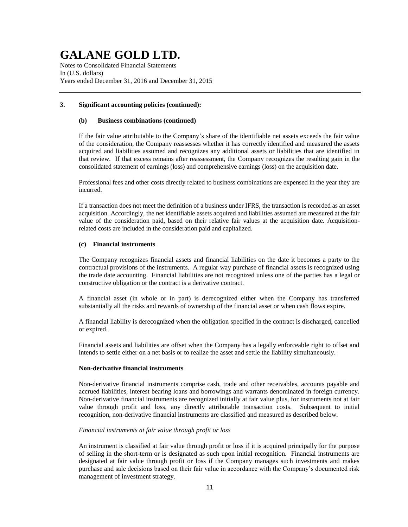Notes to Consolidated Financial Statements In (U.S. dollars) Years ended December 31, 2016 and December 31, 2015

### **3. Significant accounting policies (continued):**

#### **(b) Business combinations (continued)**

If the fair value attributable to the Company's share of the identifiable net assets exceeds the fair value of the consideration, the Company reassesses whether it has correctly identified and measured the assets acquired and liabilities assumed and recognizes any additional assets or liabilities that are identified in that review. If that excess remains after reassessment, the Company recognizes the resulting gain in the consolidated statement of earnings (loss) and comprehensive earnings (loss) on the acquisition date.

Professional fees and other costs directly related to business combinations are expensed in the year they are incurred.

If a transaction does not meet the definition of a business under IFRS, the transaction is recorded as an asset acquisition. Accordingly, the net identifiable assets acquired and liabilities assumed are measured at the fair value of the consideration paid, based on their relative fair values at the acquisition date. Acquisitionrelated costs are included in the consideration paid and capitalized.

### **(c) Financial instruments**

The Company recognizes financial assets and financial liabilities on the date it becomes a party to the contractual provisions of the instruments. A regular way purchase of financial assets is recognized using the trade date accounting. Financial liabilities are not recognized unless one of the parties has a legal or constructive obligation or the contract is a derivative contract.

A financial asset (in whole or in part) is derecognized either when the Company has transferred substantially all the risks and rewards of ownership of the financial asset or when cash flows expire.

A financial liability is derecognized when the obligation specified in the contract is discharged, cancelled or expired.

Financial assets and liabilities are offset when the Company has a legally enforceable right to offset and intends to settle either on a net basis or to realize the asset and settle the liability simultaneously.

### **Non-derivative financial instruments**

Non-derivative financial instruments comprise cash, trade and other receivables, accounts payable and accrued liabilities, interest bearing loans and borrowings and warrants denominated in foreign currency. Non-derivative financial instruments are recognized initially at fair value plus, for instruments not at fair value through profit and loss, any directly attributable transaction costs. Subsequent to initial recognition, non-derivative financial instruments are classified and measured as described below.

### *Financial instruments at fair value through profit or loss*

An instrument is classified at fair value through profit or loss if it is acquired principally for the purpose of selling in the short-term or is designated as such upon initial recognition. Financial instruments are designated at fair value through profit or loss if the Company manages such investments and makes purchase and sale decisions based on their fair value in accordance with the Company's documented risk management of investment strategy.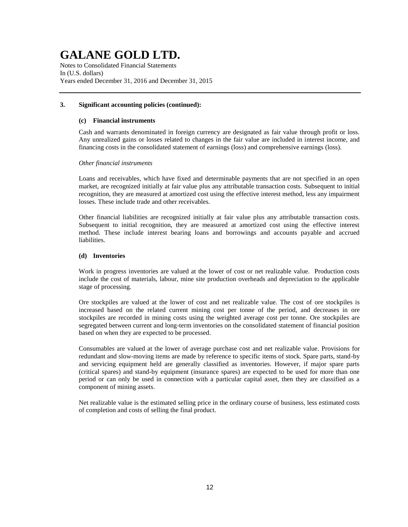Notes to Consolidated Financial Statements In (U.S. dollars) Years ended December 31, 2016 and December 31, 2015

### **3. Significant accounting policies (continued):**

#### **(c) Financial instruments**

Cash and warrants denominated in foreign currency are designated as fair value through profit or loss. Any unrealized gains or losses related to changes in the fair value are included in interest income, and financing costs in the consolidated statement of earnings (loss) and comprehensive earnings (loss).

### *Other financial instruments*

Loans and receivables, which have fixed and determinable payments that are not specified in an open market, are recognized initially at fair value plus any attributable transaction costs. Subsequent to initial recognition, they are measured at amortized cost using the effective interest method, less any impairment losses. These include trade and other receivables.

Other financial liabilities are recognized initially at fair value plus any attributable transaction costs. Subsequent to initial recognition, they are measured at amortized cost using the effective interest method. These include interest bearing loans and borrowings and accounts payable and accrued liabilities.

### **(d) Inventories**

Work in progress inventories are valued at the lower of cost or net realizable value. Production costs include the cost of materials, labour, mine site production overheads and depreciation to the applicable stage of processing.

Ore stockpiles are valued at the lower of cost and net realizable value. The cost of ore stockpiles is increased based on the related current mining cost per tonne of the period, and decreases in ore stockpiles are recorded in mining costs using the weighted average cost per tonne. Ore stockpiles are segregated between current and long-term inventories on the consolidated statement of financial position based on when they are expected to be processed.

Consumables are valued at the lower of average purchase cost and net realizable value. Provisions for redundant and slow-moving items are made by reference to specific items of stock. Spare parts, stand-by and servicing equipment held are generally classified as inventories. However, if major spare parts (critical spares) and stand-by equipment (insurance spares) are expected to be used for more than one period or can only be used in connection with a particular capital asset, then they are classified as a component of mining assets.

Net realizable value is the estimated selling price in the ordinary course of business, less estimated costs of completion and costs of selling the final product.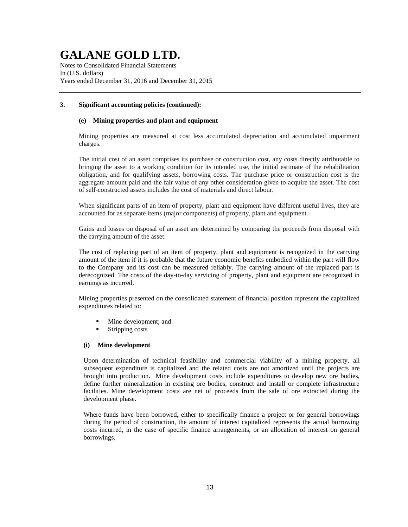Notes to Consolidated Financial Statements In (U.S. dollars) Years ended December 31, 2016 and December 31, 2015

### **3. Significant accounting policies (continued):**

### **(e) Mining properties and plant and equipment**

Mining properties are measured at cost less accumulated depreciation and accumulated impairment charges.

The initial cost of an asset comprises its purchase or construction cost, any costs directly attributable to bringing the asset to a working condition for its intended use, the initial estimate of the rehabilitation obligation, and for qualifying assets, borrowing costs. The purchase price or construction cost is the aggregate amount paid and the fair value of any other consideration given to acquire the asset. The cost of self-constructed assets includes the cost of materials and direct labour.

When significant parts of an item of property, plant and equipment have different useful lives, they are accounted for as separate items (major components) of property, plant and equipment.

Gains and losses on disposal of an asset are determined by comparing the proceeds from disposal with the carrying amount of the asset.

The cost of replacing part of an item of property, plant and equipment is recognized in the carrying amount of the item if it is probable that the future economic benefits embodied within the part will flow to the Company and its cost can be measured reliably. The carrying amount of the replaced part is derecognized. The costs of the day-to-day servicing of property, plant and equipment are recognized in earnings as incurred.

Mining properties presented on the consolidated statement of financial position represent the capitalized expenditures related to:

- Mine development; and
- Stripping costs

### **(i) Mine development**

Upon determination of technical feasibility and commercial viability of a mining property, all subsequent expenditure is capitalized and the related costs are not amortized until the projects are brought into production. Mine development costs include expenditures to develop new ore bodies, define further mineralization in existing ore bodies, construct and install or complete infrastructure facilities. Mine development costs are net of proceeds from the sale of ore extracted during the development phase.

Where funds have been borrowed, either to specifically finance a project or for general borrowings during the period of construction, the amount of interest capitalized represents the actual borrowing costs incurred, in the case of specific finance arrangements, or an allocation of interest on general borrowings.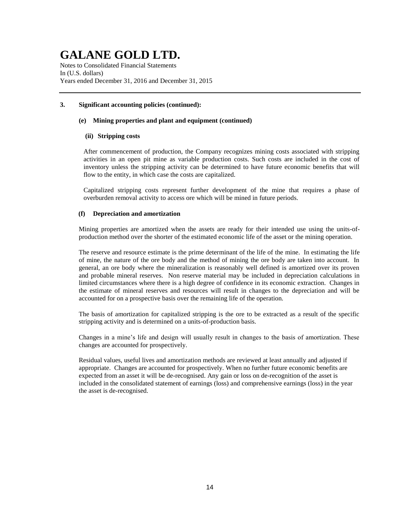Notes to Consolidated Financial Statements In (U.S. dollars) Years ended December 31, 2016 and December 31, 2015

### **3. Significant accounting policies (continued):**

### **(e) Mining properties and plant and equipment (continued)**

### **(ii) Stripping costs**

After commencement of production, the Company recognizes mining costs associated with stripping activities in an open pit mine as variable production costs. Such costs are included in the cost of inventory unless the stripping activity can be determined to have future economic benefits that will flow to the entity, in which case the costs are capitalized.

Capitalized stripping costs represent further development of the mine that requires a phase of overburden removal activity to access ore which will be mined in future periods.

### **(f) Depreciation and amortization**

Mining properties are amortized when the assets are ready for their intended use using the units-ofproduction method over the shorter of the estimated economic life of the asset or the mining operation.

The reserve and resource estimate is the prime determinant of the life of the mine. In estimating the life of mine, the nature of the ore body and the method of mining the ore body are taken into account. In general, an ore body where the mineralization is reasonably well defined is amortized over its proven and probable mineral reserves. Non reserve material may be included in depreciation calculations in limited circumstances where there is a high degree of confidence in its economic extraction. Changes in the estimate of mineral reserves and resources will result in changes to the depreciation and will be accounted for on a prospective basis over the remaining life of the operation.

The basis of amortization for capitalized stripping is the ore to be extracted as a result of the specific stripping activity and is determined on a units-of-production basis.

Changes in a mine's life and design will usually result in changes to the basis of amortization. These changes are accounted for prospectively.

Residual values, useful lives and amortization methods are reviewed at least annually and adjusted if appropriate. Changes are accounted for prospectively. When no further future economic benefits are expected from an asset it will be de-recognised. Any gain or loss on de-recognition of the asset is included in the consolidated statement of earnings (loss) and comprehensive earnings (loss) in the year the asset is de-recognised.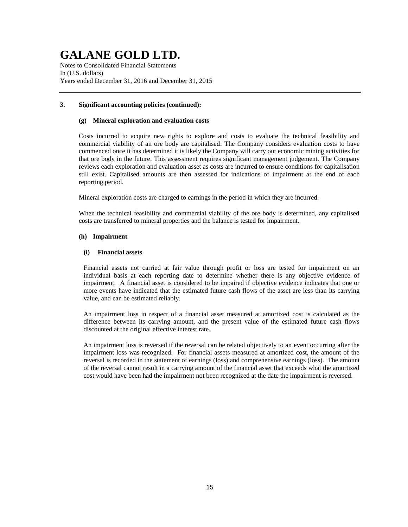Notes to Consolidated Financial Statements In (U.S. dollars) Years ended December 31, 2016 and December 31, 2015

### **3. Significant accounting policies (continued):**

### **(g) Mineral exploration and evaluation costs**

Costs incurred to acquire new rights to explore and costs to evaluate the technical feasibility and commercial viability of an ore body are capitalised. The Company considers evaluation costs to have commenced once it has determined it is likely the Company will carry out economic mining activities for that ore body in the future. This assessment requires significant management judgement. The Company reviews each exploration and evaluation asset as costs are incurred to ensure conditions for capitalisation still exist. Capitalised amounts are then assessed for indications of impairment at the end of each reporting period.

Mineral exploration costs are charged to earnings in the period in which they are incurred.

When the technical feasibility and commercial viability of the ore body is determined, any capitalised costs are transferred to mineral properties and the balance is tested for impairment.

### **(h) Impairment**

### **(i) Financial assets**

Financial assets not carried at fair value through profit or loss are tested for impairment on an individual basis at each reporting date to determine whether there is any objective evidence of impairment. A financial asset is considered to be impaired if objective evidence indicates that one or more events have indicated that the estimated future cash flows of the asset are less than its carrying value, and can be estimated reliably.

An impairment loss in respect of a financial asset measured at amortized cost is calculated as the difference between its carrying amount, and the present value of the estimated future cash flows discounted at the original effective interest rate.

An impairment loss is reversed if the reversal can be related objectively to an event occurring after the impairment loss was recognized. For financial assets measured at amortized cost, the amount of the reversal is recorded in the statement of earnings (loss) and comprehensive earnings (loss). The amount of the reversal cannot result in a carrying amount of the financial asset that exceeds what the amortized cost would have been had the impairment not been recognized at the date the impairment is reversed.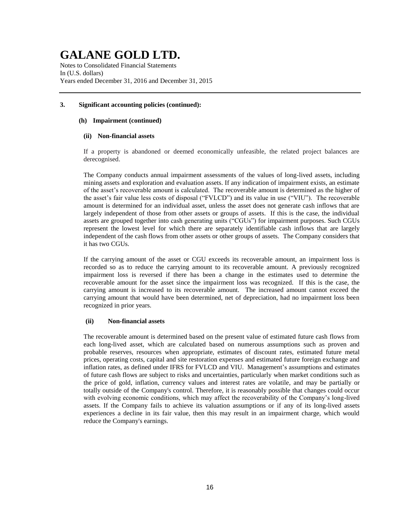Notes to Consolidated Financial Statements In (U.S. dollars) Years ended December 31, 2016 and December 31, 2015

### **3. Significant accounting policies (continued):**

### **(h) Impairment (continued)**

### **(ii) Non-financial assets**

If a property is abandoned or deemed economically unfeasible, the related project balances are derecognised.

The Company conducts annual impairment assessments of the values of long-lived assets, including mining assets and exploration and evaluation assets. If any indication of impairment exists, an estimate of the asset's recoverable amount is calculated. The recoverable amount is determined as the higher of the asset's fair value less costs of disposal ("FVLCD") and its value in use ("VIU"). The recoverable amount is determined for an individual asset, unless the asset does not generate cash inflows that are largely independent of those from other assets or groups of assets. If this is the case, the individual assets are grouped together into cash generating units ("CGUs") for impairment purposes. Such CGUs represent the lowest level for which there are separately identifiable cash inflows that are largely independent of the cash flows from other assets or other groups of assets. The Company considers that it has two CGUs.

If the carrying amount of the asset or CGU exceeds its recoverable amount, an impairment loss is recorded so as to reduce the carrying amount to its recoverable amount. A previously recognized impairment loss is reversed if there has been a change in the estimates used to determine the recoverable amount for the asset since the impairment loss was recognized. If this is the case, the carrying amount is increased to its recoverable amount. The increased amount cannot exceed the carrying amount that would have been determined, net of depreciation, had no impairment loss been recognized in prior years.

### **(ii) Non-financial assets**

The recoverable amount is determined based on the present value of estimated future cash flows from each long-lived asset, which are calculated based on numerous assumptions such as proven and probable reserves, resources when appropriate, estimates of discount rates, estimated future metal prices, operating costs, capital and site restoration expenses and estimated future foreign exchange and inflation rates, as defined under IFRS for FVLCD and VIU. Management's assumptions and estimates of future cash flows are subject to risks and uncertainties, particularly when market conditions such as the price of gold, inflation, currency values and interest rates are volatile, and may be partially or totally outside of the Company's control. Therefore, it is reasonably possible that changes could occur with evolving economic conditions, which may affect the recoverability of the Company's long-lived assets. If the Company fails to achieve its valuation assumptions or if any of its long-lived assets experiences a decline in its fair value, then this may result in an impairment charge, which would reduce the Company's earnings.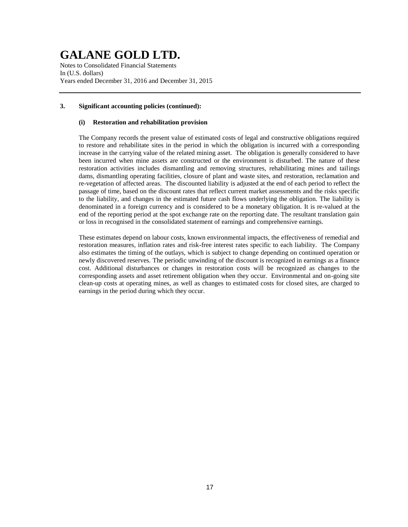Notes to Consolidated Financial Statements In (U.S. dollars) Years ended December 31, 2016 and December 31, 2015

### **3. Significant accounting policies (continued):**

### **(i) Restoration and rehabilitation provision**

The Company records the present value of estimated costs of legal and constructive obligations required to restore and rehabilitate sites in the period in which the obligation is incurred with a corresponding increase in the carrying value of the related mining asset. The obligation is generally considered to have been incurred when mine assets are constructed or the environment is disturbed. The nature of these restoration activities includes dismantling and removing structures, rehabilitating mines and tailings dams, dismantling operating facilities, closure of plant and waste sites, and restoration, reclamation and re-vegetation of affected areas. The discounted liability is adjusted at the end of each period to reflect the passage of time, based on the discount rates that reflect current market assessments and the risks specific to the liability, and changes in the estimated future cash flows underlying the obligation. The liability is denominated in a foreign currency and is considered to be a monetary obligation. It is re-valued at the end of the reporting period at the spot exchange rate on the reporting date. The resultant translation gain or loss in recognised in the consolidated statement of earnings and comprehensive earnings.

These estimates depend on labour costs, known environmental impacts, the effectiveness of remedial and restoration measures, inflation rates and risk-free interest rates specific to each liability. The Company also estimates the timing of the outlays, which is subject to change depending on continued operation or newly discovered reserves. The periodic unwinding of the discount is recognized in earnings as a finance cost. Additional disturbances or changes in restoration costs will be recognized as changes to the corresponding assets and asset retirement obligation when they occur. Environmental and on-going site clean-up costs at operating mines, as well as changes to estimated costs for closed sites, are charged to earnings in the period during which they occur.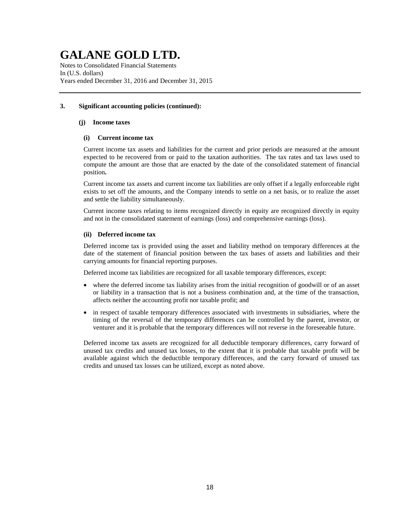Notes to Consolidated Financial Statements In (U.S. dollars) Years ended December 31, 2016 and December 31, 2015

### **3. Significant accounting policies (continued):**

### **(j) Income taxes**

### **(i) Current income tax**

Current income tax assets and liabilities for the current and prior periods are measured at the amount expected to be recovered from or paid to the taxation authorities. The tax rates and tax laws used to compute the amount are those that are enacted by the date of the consolidated statement of financial position**.**

Current income tax assets and current income tax liabilities are only offset if a legally enforceable right exists to set off the amounts, and the Company intends to settle on a net basis, or to realize the asset and settle the liability simultaneously.

Current income taxes relating to items recognized directly in equity are recognized directly in equity and not in the consolidated statement of earnings (loss) and comprehensive earnings (loss).

### **(ii) Deferred income tax**

Deferred income tax is provided using the asset and liability method on temporary differences at the date of the statement of financial position between the tax bases of assets and liabilities and their carrying amounts for financial reporting purposes.

Deferred income tax liabilities are recognized for all taxable temporary differences, except:

- where the deferred income tax liability arises from the initial recognition of goodwill or of an asset or liability in a transaction that is not a business combination and, at the time of the transaction, affects neither the accounting profit nor taxable profit; and
- in respect of taxable temporary differences associated with investments in subsidiaries, where the timing of the reversal of the temporary differences can be controlled by the parent, investor, or venturer and it is probable that the temporary differences will not reverse in the foreseeable future.

Deferred income tax assets are recognized for all deductible temporary differences, carry forward of unused tax credits and unused tax losses, to the extent that it is probable that taxable profit will be available against which the deductible temporary differences, and the carry forward of unused tax credits and unused tax losses can be utilized, except as noted above.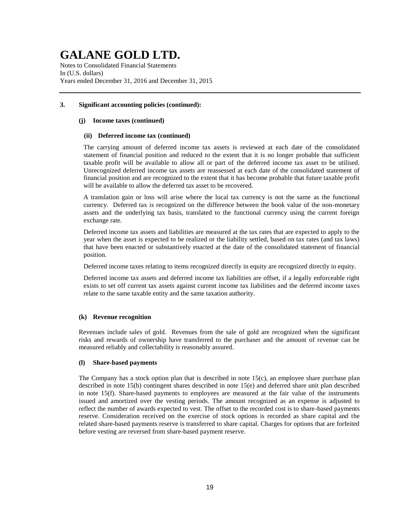Notes to Consolidated Financial Statements In (U.S. dollars) Years ended December 31, 2016 and December 31, 2015

### **3. Significant accounting policies (continued):**

### **(j) Income taxes (continued)**

### **(ii) Deferred income tax (continued)**

The carrying amount of deferred income tax assets is reviewed at each date of the consolidated statement of financial position and reduced to the extent that it is no longer probable that sufficient taxable profit will be available to allow all or part of the deferred income tax asset to be utilised. Unrecognized deferred income tax assets are reassessed at each date of the consolidated statement of financial position and are recognized to the extent that it has become probable that future taxable profit will be available to allow the deferred tax asset to be recovered.

A translation gain or loss will arise where the local tax currency is not the same as the functional currency. Deferred tax is recognized on the difference between the book value of the non-monetary assets and the underlying tax basis, translated to the functional currency using the current foreign exchange rate.

Deferred income tax assets and liabilities are measured at the tax rates that are expected to apply to the year when the asset is expected to be realized or the liability settled, based on tax rates (and tax laws) that have been enacted or substantively enacted at the date of the consolidated statement of financial position.

Deferred income taxes relating to items recognized directly in equity are recognized directly in equity.

Deferred income tax assets and deferred income tax liabilities are offset, if a legally enforceable right exists to set off current tax assets against current income tax liabilities and the deferred income taxes relate to the same taxable entity and the same taxation authority.

### **(k) Revenue recognition**

Revenues include sales of gold. Revenues from the sale of gold are recognized when the significant risks and rewards of ownership have transferred to the purchaser and the amount of revenue can be measured reliably and collectability is reasonably assured.

### **(l) Share-based payments**

The Company has a stock option plan that is described in note 15(c), an employee share purchase plan described in note 15(b) contingent shares described in note 15(e) and deferred share unit plan described in note 15(f). Share-based payments to employees are measured at the fair value of the instruments issued and amortized over the vesting periods. The amount recognized as an expense is adjusted to reflect the number of awards expected to vest. The offset to the recorded cost is to share-based payments reserve. Consideration received on the exercise of stock options is recorded as share capital and the related share-based payments reserve is transferred to share capital. Charges for options that are forfeited before vesting are reversed from share-based payment reserve.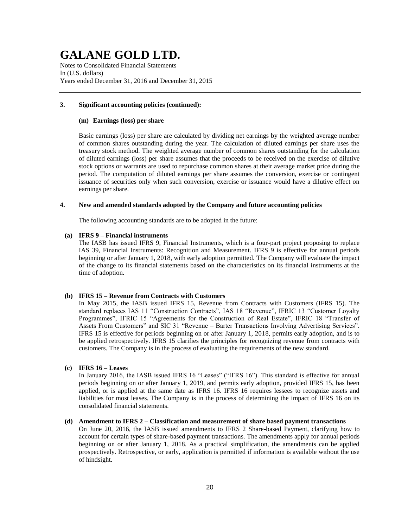Notes to Consolidated Financial Statements In (U.S. dollars) Years ended December 31, 2016 and December 31, 2015

### **3. Significant accounting policies (continued):**

#### **(m) Earnings (loss) per share**

Basic earnings (loss) per share are calculated by dividing net earnings by the weighted average number of common shares outstanding during the year. The calculation of diluted earnings per share uses the treasury stock method. The weighted average number of common shares outstanding for the calculation of diluted earnings (loss) per share assumes that the proceeds to be received on the exercise of dilutive stock options or warrants are used to repurchase common shares at their average market price during the period. The computation of diluted earnings per share assumes the conversion, exercise or contingent issuance of securities only when such conversion, exercise or issuance would have a dilutive effect on earnings per share.

### **4. New and amended standards adopted by the Company and future accounting policies**

The following accounting standards are to be adopted in the future:

### **(a) IFRS 9 – Financial instruments**

The IASB has issued IFRS 9, Financial Instruments, which is a four-part project proposing to replace IAS 39, Financial Instruments: Recognition and Measurement. IFRS 9 is effective for annual periods beginning or after January 1, 2018, with early adoption permitted. The Company will evaluate the impact of the change to its financial statements based on the characteristics on its financial instruments at the time of adoption.

### **(b) IFRS 15 – Revenue from Contracts with Customers**

In May 2015, the IASB issued IFRS 15, Revenue from Contracts with Customers (IFRS 15). The standard replaces IAS 11 "Construction Contracts", IAS 18 "Revenue", IFRIC 13 "Customer Loyalty Programmes", IFRIC 15 "Agreements for the Construction of Real Estate", IFRIC 18 "Transfer of Assets From Customers" and SIC 31 "Revenue – Barter Transactions Involving Advertising Services". IFRS 15 is effective for periods beginning on or after January 1, 2018, permits early adoption, and is to be applied retrospectively. IFRS 15 clarifies the principles for recognizing revenue from contracts with customers. The Company is in the process of evaluating the requirements of the new standard.

### **(c) IFRS 16 – Leases**

In January 2016, the IASB issued IFRS 16 "Leases" ("IFRS 16"). This standard is effective for annual periods beginning on or after January 1, 2019, and permits early adoption, provided IFRS 15, has been applied, or is applied at the same date as IFRS 16. IFRS 16 requires lessees to recognize assets and liabilities for most leases. The Company is in the process of determining the impact of IFRS 16 on its consolidated financial statements.

### **(d) Amendment to IFRS 2 – Classification and measurement of share based payment transactions**

On June 20, 2016, the IASB issued amendments to IFRS 2 Share-based Payment, clarifying how to account for certain types of share-based payment transactions. The amendments apply for annual periods beginning on or after January 1, 2018. As a practical simplification, the amendments can be applied prospectively. Retrospective, or early, application is permitted if information is available without the use of hindsight.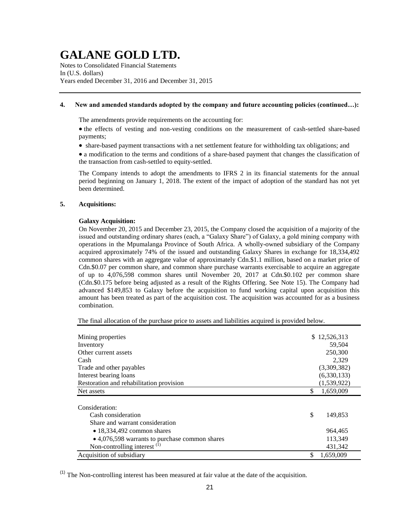Notes to Consolidated Financial Statements In (U.S. dollars) Years ended December 31, 2016 and December 31, 2015

### **4. New and amended standards adopted by the company and future accounting policies (continued…):**

The amendments provide requirements on the accounting for:

• the effects of vesting and non-vesting conditions on the measurement of cash-settled share-based payments;

• share-based payment transactions with a net settlement feature for withholding tax obligations; and

 a modification to the terms and conditions of a share-based payment that changes the classification of the transaction from cash-settled to equity-settled.

The Company intends to adopt the amendments to IFRS 2 in its financial statements for the annual period beginning on January 1, 2018. The extent of the impact of adoption of the standard has not yet been determined.

### **5. Acquisitions:**

### **Galaxy Acquisition:**

On November 20, 2015 and December 23, 2015, the Company closed the acquisition of a majority of the issued and outstanding ordinary shares (each, a "Galaxy Share") of Galaxy, a gold mining company with operations in the Mpumalanga Province of South Africa. A wholly-owned subsidiary of the Company acquired approximately 74% of the issued and outstanding Galaxy Shares in exchange for 18,334,492 common shares with an aggregate value of approximately Cdn.\$1.1 million, based on a market price of Cdn.\$0.07 per common share, and common share purchase warrants exercisable to acquire an aggregate of up to 4,076,598 common shares until November 20, 2017 at Cdn.\$0.102 per common share (Cdn.\$0.175 before being adjusted as a result of the Rights Offering. See Note 15). The Company had advanced \$149,853 to Galaxy before the acquisition to fund working capital upon acquisition this amount has been treated as part of the acquisition cost. The acquisition was accounted for as a business combination.

The final allocation of the purchase price to assets and liabilities acquired is provided below.

| Mining properties                              | \$12,526,313    |
|------------------------------------------------|-----------------|
| Inventory                                      | 59,504          |
| Other current assets                           | 250,300         |
| Cash                                           | 2,329           |
| Trade and other payables                       | (3,309,382)     |
| Interest bearing loans                         | (6,330,133)     |
| Restoration and rehabilitation provision       | (1,539,922)     |
| Net assets                                     | \$<br>1,659,009 |
|                                                |                 |
| Consideration:                                 |                 |
| Cash consideration                             | \$<br>149.853   |
| Share and warrant consideration                |                 |
| $\bullet$ 18,334,492 common shares             | 964,465         |
| • 4,076,598 warrants to purchase common shares | 113,349         |
| Non-controlling interest $(1)$                 | 431,342         |
| Acquisition of subsidiary                      | \$<br>1,659,009 |

 $<sup>(1)</sup>$  The Non-controlling interest has been measured at fair value at the date of the acquisition.</sup>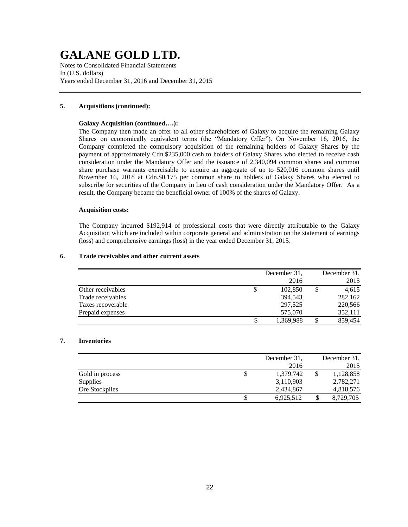Notes to Consolidated Financial Statements In (U.S. dollars) Years ended December 31, 2016 and December 31, 2015

### **5. Acquisitions (continued):**

### **Galaxy Acquisition (continued….):**

The Company then made an offer to all other shareholders of Galaxy to acquire the remaining Galaxy Shares on economically equivalent terms (the "Mandatory Offer"). On November 16, 2016, the Company completed the compulsory acquisition of the remaining holders of Galaxy Shares by the payment of approximately Cdn.\$235,000 cash to holders of Galaxy Shares who elected to receive cash consideration under the Mandatory Offer and the issuance of 2,340,094 common shares and common share purchase warrants exercisable to acquire an aggregate of up to 520,016 common shares until November 16, 2018 at Cdn.\$0.175 per common share to holders of Galaxy Shares who elected to subscribe for securities of the Company in lieu of cash consideration under the Mandatory Offer. As a result, the Company became the beneficial owner of 100% of the shares of Galaxy.

### **Acquisition costs:**

The Company incurred \$192,914 of professional costs that were directly attributable to the Galaxy Acquisition which are included within corporate general and administration on the statement of earnings (loss) and comprehensive earnings (loss) in the year ended December 31, 2015.

### **6. Trade receivables and other current assets**

|                   | December 31. | December 31. |
|-------------------|--------------|--------------|
|                   | 2016         | 2015         |
| Other receivables | 102,850      | 4,615        |
| Trade receivables | 394.543      | 282,162      |
| Taxes recoverable | 297,525      | 220,566      |
| Prepaid expenses  | 575,070      | 352,111      |
|                   | 1,369,988    | 859,454      |

### **7. Inventories**

|                 |   | December 31, | December 31. |
|-----------------|---|--------------|--------------|
|                 |   | 2016         | 2015         |
| Gold in process | S | 1,379,742    | 1,128,858    |
| Supplies        |   | 3,110,903    | 2,782,271    |
| Ore Stockpiles  |   | 2,434,867    | 4,818,576    |
|                 |   | 6,925,512    | 8,729,705    |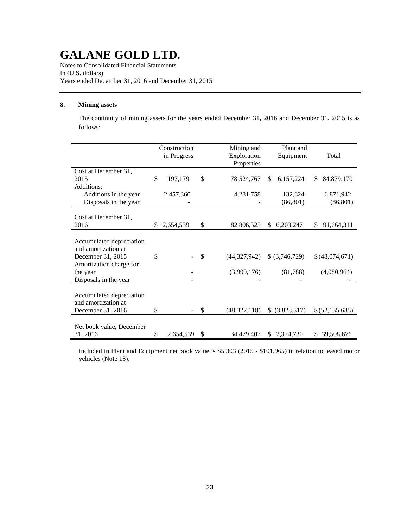Notes to Consolidated Financial Statements In (U.S. dollars) Years ended December 31, 2016 and December 31, 2015

### **8. Mining assets**

The continuity of mining assets for the years ended December 31, 2016 and December 31, 2015 is as follows:

|                                                |    | Construction<br>in Progress | Mining and<br>Exploration<br>Properties |                | Plant and<br>Equipment | Total                  |  |
|------------------------------------------------|----|-----------------------------|-----------------------------------------|----------------|------------------------|------------------------|--|
| Cost at December 31,                           |    |                             |                                         |                |                        |                        |  |
| 2015                                           | \$ | 197,179                     | \$<br>78,524,767                        | \$.            | 6,157,224              | 84,879,170<br>\$       |  |
| Additions:                                     |    |                             |                                         |                |                        |                        |  |
| Additions in the year<br>Disposals in the year |    | 2,457,360                   | 4,281,758                               |                | 132,824<br>(86, 801)   | 6,871,942<br>(86, 801) |  |
|                                                |    |                             |                                         |                |                        |                        |  |
| Cost at December 31,                           |    |                             |                                         |                |                        |                        |  |
| 2016                                           | S. | 2,654,539                   | \$<br>82,806,525                        | \$             | 6,203,247              | 91,664,311<br>S.       |  |
|                                                |    |                             |                                         |                |                        |                        |  |
| Accumulated depreciation                       |    |                             |                                         |                |                        |                        |  |
| and amortization at                            |    |                             |                                         |                |                        |                        |  |
| December 31, 2015<br>Amortization charge for   | \$ |                             | \$<br>(44,327,942)                      |                | \$ (3,746,729)         | \$(48,074,671)         |  |
| the year                                       |    |                             | (3,999,176)                             |                | (81,788)               | (4,080,964)            |  |
| Disposals in the year                          |    |                             |                                         |                |                        |                        |  |
|                                                |    |                             |                                         |                |                        |                        |  |
| Accumulated depreciation                       |    |                             |                                         |                |                        |                        |  |
| and amortization at                            |    |                             |                                         |                |                        |                        |  |
| December 31, 2016                              | \$ |                             | \$<br>(48, 327, 118)                    | $\mathbb{S}^-$ | (3,828,517)            | \$(52,155,635)         |  |
|                                                |    |                             |                                         |                |                        |                        |  |
| Net book value, December                       |    |                             |                                         |                |                        |                        |  |
| 31, 2016                                       | \$ | 2,654,539                   | \$<br>34,479,407                        |                | \$2,374,730            | \$39,508,676           |  |

Included in Plant and Equipment net book value is \$5,303 (2015 - \$101,965) in relation to leased motor vehicles (Note 13).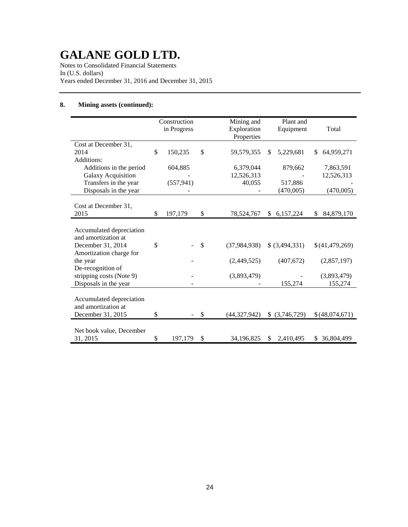Notes to Consolidated Financial Statements In (U.S. dollars) Years ended December 31, 2016 and December 31, 2015

### **8. Mining assets (continued):**

|                                                 | Construction<br>in Progress | Mining and<br>Exploration<br>Properties | Plant and<br>Equipment      | Total             |
|-------------------------------------------------|-----------------------------|-----------------------------------------|-----------------------------|-------------------|
| Cost at December 31,                            |                             |                                         |                             |                   |
| 2014                                            | \$<br>150,235               | \$<br>59,579,355                        | 5,229,681<br>\$.            | 64,959,271<br>\$. |
| Additions:                                      |                             |                                         |                             |                   |
| Additions in the period                         | 604,885                     | 6,379,044                               | 879,662                     | 7,863,591         |
| <b>Galaxy Acquisition</b>                       |                             | 12,526,313                              |                             | 12,526,313        |
| Transfers in the year                           | (557, 941)                  | 40,055                                  | 517,886                     |                   |
| Disposals in the year                           |                             |                                         | (470,005)                   | (470,005)         |
| Cost at December 31,<br>2015                    | \$<br>197,179               | \$<br>78,524,767                        | $\mathbb{S}^-$<br>6,157,224 | 84,879,170<br>\$. |
|                                                 |                             |                                         |                             |                   |
| Accumulated depreciation<br>and amortization at |                             |                                         |                             |                   |
| December 31, 2014                               | \$                          | \$<br>(37, 984, 938)                    | \$ (3,494,331)              | \$(41,479,269)    |
| Amortization charge for<br>the year             |                             | (2,449,525)                             | (407, 672)                  | (2,857,197)       |
| De-recognition of                               |                             |                                         |                             |                   |
| stripping costs (Note 9)                        |                             | (3,893,479)                             |                             | (3,893,479)       |
| Disposals in the year                           |                             |                                         | 155,274                     | 155,274           |
|                                                 |                             |                                         |                             |                   |
| Accumulated depreciation                        |                             |                                         |                             |                   |
| and amortization at                             |                             |                                         |                             |                   |
| December 31, 2015                               | \$                          | \$<br>(44,327,942)                      | $$$ (3,746,729)             | \$(48,074,671)    |
|                                                 |                             |                                         |                             |                   |
| Net book value, December                        |                             |                                         |                             |                   |
| 31, 2015                                        | \$<br>197,179               | \$<br>34,196,825                        | 2,410,495<br><sup>\$</sup>  | \$ 36,804,499     |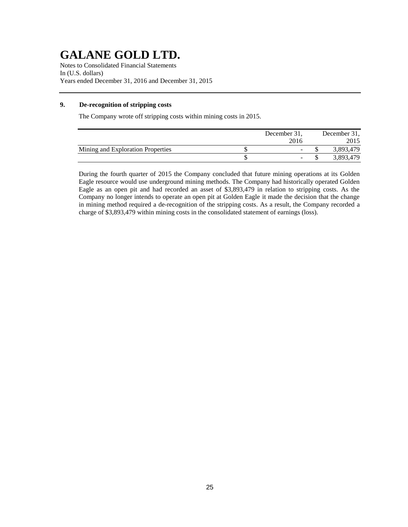Notes to Consolidated Financial Statements In (U.S. dollars) Years ended December 31, 2016 and December 31, 2015

### **9. De-recognition of stripping costs**

The Company wrote off stripping costs within mining costs in 2015.

|                                   | December 31, | December 31, |
|-----------------------------------|--------------|--------------|
|                                   | 2016         |              |
| Mining and Exploration Properties | -            | 3,893,479    |
|                                   |              | 3,893,479    |

During the fourth quarter of 2015 the Company concluded that future mining operations at its Golden Eagle resource would use underground mining methods. The Company had historically operated Golden Eagle as an open pit and had recorded an asset of \$3,893,479 in relation to stripping costs. As the Company no longer intends to operate an open pit at Golden Eagle it made the decision that the change in mining method required a de-recognition of the stripping costs. As a result, the Company recorded a charge of \$3,893,479 within mining costs in the consolidated statement of earnings (loss).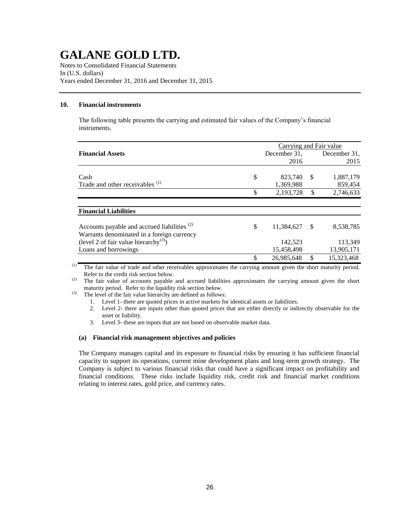Notes to Consolidated Financial Statements In (U.S. dollars) Years ended December 31, 2016 and December 31, 2015

### **10. Financial instruments**

The following table presents the carrying and estimated fair values of the Company's financial instruments.

|                                                         |    | Carrying and Fair value |               |              |  |
|---------------------------------------------------------|----|-------------------------|---------------|--------------|--|
| <b>Financial Assets</b>                                 |    | December 31.            |               | December 31. |  |
|                                                         |    | 2016                    |               | 2015         |  |
|                                                         |    |                         |               |              |  |
| Cash                                                    | \$ | 823,740                 | <sup>\$</sup> | 1,887,179    |  |
| Trade and other receivables <sup>(1)</sup>              |    | 1,369,988               |               | 859,454      |  |
|                                                         | \$ | 2,193,728               | \$            | 2,746,633    |  |
|                                                         |    |                         |               |              |  |
| <b>Financial Liabilities</b>                            |    |                         |               |              |  |
| Accounts payable and accrued liabilities <sup>(2)</sup> | S  | 11,384,627              | -S            | 8,538,785    |  |
| Warrants denominated in a foreign currency              |    |                         |               |              |  |
| (level 2 of fair value hierarchy <sup>(3)</sup> )       |    | 142,523                 |               | 113,349      |  |
| Loans and borrowings                                    |    | 15,458,498              |               | 13,905,171   |  |
|                                                         | \$ | 26,985,648              | \$            | 15,323,468   |  |

(1) The fair value of trade and other receivables approximates the carrying amount given the short maturity period. Refer to the credit risk section below.

(2) The fair value of accounts payable and accrued liabilities approximates the carrying amount given the short maturity period. Refer to the liquidity risk section below.

 $(3)$  The level of the fair value hierarchy are defined as follows:

- 1. Level 1- there are quoted prices in active markets for identical assets or liabilities.
- 2. Level 2- there are inputs other than quoted prices that are either directly or indirectly observable for the asset or liability.
- 3. Level 3- these are inputs that are not based on observable market data.

### **(a) Financial risk management objectives and policies**

The Company manages capital and its exposure to financial risks by ensuring it has sufficient financial capacity to support its operations, current mine development plans and long-term growth strategy. The Company is subject to various financial risks that could have a significant impact on profitability and financial conditions. These risks include liquidity risk, credit risk and financial market conditions relating to interest rates, gold price, and currency rates.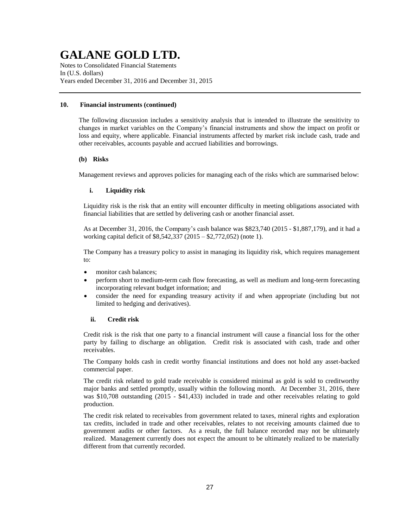Notes to Consolidated Financial Statements In (U.S. dollars) Years ended December 31, 2016 and December 31, 2015

### **10. Financial instruments (continued)**

The following discussion includes a sensitivity analysis that is intended to illustrate the sensitivity to changes in market variables on the Company's financial instruments and show the impact on profit or loss and equity, where applicable. Financial instruments affected by market risk include cash, trade and other receivables, accounts payable and accrued liabilities and borrowings.

### **(b) Risks**

Management reviews and approves policies for managing each of the risks which are summarised below:

### **i. Liquidity risk**

Liquidity risk is the risk that an entity will encounter difficulty in meeting obligations associated with financial liabilities that are settled by delivering cash or another financial asset.

As at December 31, 2016, the Company's cash balance was \$823,740 (2015 - \$1,887,179), and it had a working capital deficit of \$8,542,337 (2015 – \$2,772,052) (note 1).

The Company has a treasury policy to assist in managing its liquidity risk, which requires management to:

- monitor cash balances:
- perform short to medium-term cash flow forecasting, as well as medium and long-term forecasting incorporating relevant budget information; and
- consider the need for expanding treasury activity if and when appropriate (including but not limited to hedging and derivatives).

### **ii. Credit risk**

Credit risk is the risk that one party to a financial instrument will cause a financial loss for the other party by failing to discharge an obligation. Credit risk is associated with cash, trade and other receivables.

The Company holds cash in credit worthy financial institutions and does not hold any asset-backed commercial paper.

The credit risk related to gold trade receivable is considered minimal as gold is sold to creditworthy major banks and settled promptly, usually within the following month. At December 31, 2016, there was \$10,708 outstanding (2015 - \$41,433) included in trade and other receivables relating to gold production.

The credit risk related to receivables from government related to taxes, mineral rights and exploration tax credits, included in trade and other receivables, relates to not receiving amounts claimed due to government audits or other factors. As a result, the full balance recorded may not be ultimately realized. Management currently does not expect the amount to be ultimately realized to be materially different from that currently recorded.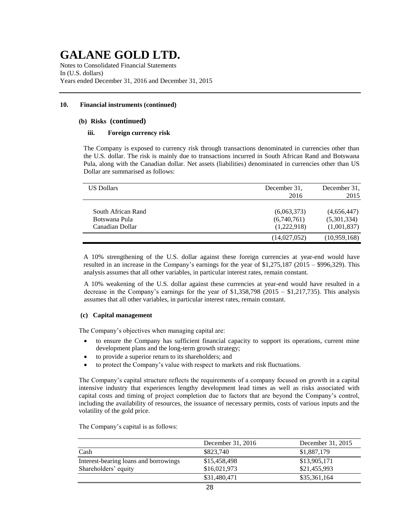Notes to Consolidated Financial Statements In (U.S. dollars) Years ended December 31, 2016 and December 31, 2015

### **10. Financial instruments (continued)**

### **(b) Risks (continued)**

### **iii. Foreign currency risk**

The Company is exposed to currency risk through transactions denominated in currencies other than the U.S. dollar. The risk is mainly due to transactions incurred in South African Rand and Botswana Pula, along with the Canadian dollar. Net assets (liabilities) denominated in currencies other than US Dollar are summarised as follows:

| <b>US Dollars</b>                                      | December 31.<br>2016                      | December 31,<br>2015                      |
|--------------------------------------------------------|-------------------------------------------|-------------------------------------------|
| South African Rand<br>Botswana Pula<br>Canadian Dollar | (6,063,373)<br>(6,740,761)<br>(1,222,918) | (4,656,447)<br>(5,301,334)<br>(1,001,837) |
|                                                        | (14,027,052)                              | (10,959,168)                              |

A 10% strengthening of the U.S. dollar against these foreign currencies at year-end would have resulted in an increase in the Company's earnings for the year of \$1,275,187 (2015 – \$996,329). This analysis assumes that all other variables, in particular interest rates, remain constant.

A 10% weakening of the U.S. dollar against these currencies at year-end would have resulted in a decrease in the Company's earnings for the year of \$1,358,798 (2015 – \$1,217,735). This analysis assumes that all other variables, in particular interest rates, remain constant.

### **(c) Capital management**

The Company's objectives when managing capital are:

- to ensure the Company has sufficient financial capacity to support its operations, current mine development plans and the long-term growth strategy;
- to provide a superior return to its shareholders; and
- to protect the Company's value with respect to markets and risk fluctuations.

The Company's capital structure reflects the requirements of a company focused on growth in a capital intensive industry that experiences lengthy development lead times as well as risks associated with capital costs and timing of project completion due to factors that are beyond the Company's control, including the availability of resources, the issuance of necessary permits, costs of various inputs and the volatility of the gold price.

|                                       | December 31, 2016 | December 31, 2015 |
|---------------------------------------|-------------------|-------------------|
| Cash                                  | \$823,740         | \$1,887,179       |
| Interest-bearing loans and borrowings | \$15,458,498      | \$13,905,171      |
| Shareholders' equity                  | \$16,021,973      | \$21,455,993      |
|                                       | \$31,480,471      | \$35,361,164      |

The Company's capital is as follows: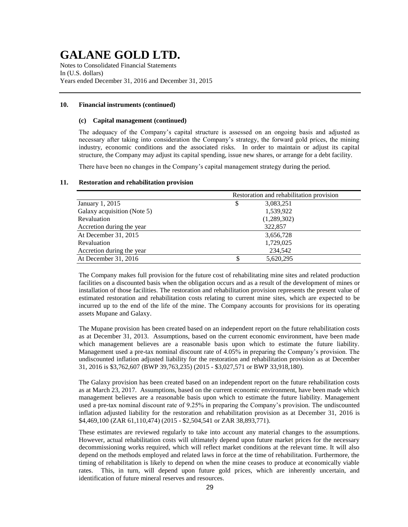Notes to Consolidated Financial Statements In (U.S. dollars) Years ended December 31, 2016 and December 31, 2015

#### **10. Financial instruments (continued)**

#### **(c) Capital management (continued)**

The adequacy of the Company's capital structure is assessed on an ongoing basis and adjusted as necessary after taking into consideration the Company's strategy, the forward gold prices, the mining industry, economic conditions and the associated risks. In order to maintain or adjust its capital structure, the Company may adjust its capital spending, issue new shares, or arrange for a debt facility.

There have been no changes in the Company's capital management strategy during the period.

#### **11. Restoration and rehabilitation provision**

|                             | Restoration and rehabilitation provision |
|-----------------------------|------------------------------------------|
| January 1, 2015             | 3,083,251<br>S                           |
| Galaxy acquisition (Note 5) | 1,539,922                                |
| Revaluation                 | (1,289,302)                              |
| Accretion during the year   | 322,857                                  |
| At December 31, 2015        | 3,656,728                                |
| Revaluation                 | 1,729,025                                |
| Accretion during the year   | 234,542                                  |
| At December 31, 2016        | 5,620,295<br>\$                          |

The Company makes full provision for the future cost of rehabilitating mine sites and related production facilities on a discounted basis when the obligation occurs and as a result of the development of mines or installation of those facilities. The restoration and rehabilitation provision represents the present value of estimated restoration and rehabilitation costs relating to current mine sites, which are expected to be incurred up to the end of the life of the mine. The Company accounts for provisions for its operating assets Mupane and Galaxy.

The Mupane provision has been created based on an independent report on the future rehabilitation costs as at December 31, 2013. Assumptions, based on the current economic environment, have been made which management believes are a reasonable basis upon which to estimate the future liability. Management used a pre-tax nominal discount rate of 4.05% in preparing the Company's provision. The undiscounted inflation adjusted liability for the restoration and rehabilitation provision as at December 31, 2016 is \$3,762,607 (BWP 39,763,235) (2015 - \$3,027,571 or BWP 33,918,180).

The Galaxy provision has been created based on an independent report on the future rehabilitation costs as at March 23, 2017. Assumptions, based on the current economic environment, have been made which management believes are a reasonable basis upon which to estimate the future liability. Management used a pre-tax nominal discount rate of 9.25% in preparing the Company's provision. The undiscounted inflation adjusted liability for the restoration and rehabilitation provision as at December 31, 2016 is \$4,469,100 (ZAR 61,110,474) (2015 - \$2,504,541 or ZAR 38,893,771).

These estimates are reviewed regularly to take into account any material changes to the assumptions. However, actual rehabilitation costs will ultimately depend upon future market prices for the necessary decommissioning works required, which will reflect market conditions at the relevant time. It will also depend on the methods employed and related laws in force at the time of rehabilitation. Furthermore, the timing of rehabilitation is likely to depend on when the mine ceases to produce at economically viable rates. This, in turn, will depend upon future gold prices, which are inherently uncertain, and identification of future mineral reserves and resources.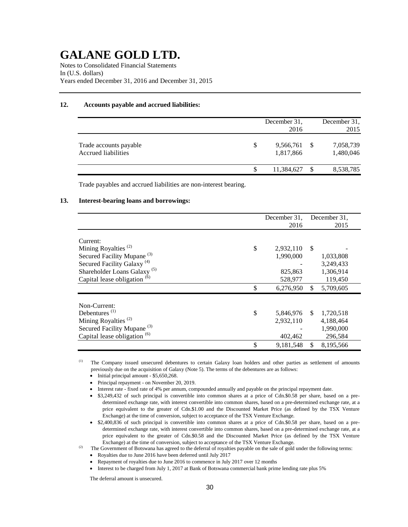Notes to Consolidated Financial Statements In (U.S. dollars) Years ended December 31, 2016 and December 31, 2015

### **12. Accounts payable and accrued liabilities:**

|                                               |   | December 31.<br>2016   |      | December 31.<br>2015   |
|-----------------------------------------------|---|------------------------|------|------------------------|
| Trade accounts payable<br>Accrued liabilities | S | 9,566,761<br>1,817,866 | - \$ | 7,058,739<br>1,480,046 |
|                                               |   | 11,384,627             |      | 8,538,785              |

Trade payables and accrued liabilities are non-interest bearing.

### **13. Interest-bearing loans and borrowings:**

|                                              | December 31,<br>2016 | December 31.<br>2015 |
|----------------------------------------------|----------------------|----------------------|
|                                              |                      |                      |
| Current:                                     |                      |                      |
| Mining Royalties <sup>(2)</sup><br>\$        | 2,932,110            | <sup>\$</sup>        |
| Secured Facility Mupane <sup>(3)</sup>       | 1,990,000            | 1,033,808            |
| Secured Facility Galaxy <sup>(4)</sup>       |                      | 3,249,433            |
| Shareholder Loans Galaxy <sup>(5)</sup>      | 825,863              | 1,306,914            |
| Capital lease obligation <sup>(6)</sup>      | 528,977              | 119,450              |
| \$                                           | 6,276,950            | \$<br>5,709,605      |
| Non-Current:                                 |                      |                      |
| Debentures $(1)$<br>\$                       | 5,846,976 \$         | 1,720,518            |
| Mining Royalties <sup><math>(2)</math></sup> | 2,932,110            | 4,188,464            |
| Secured Facility Mupane <sup>(3)</sup>       |                      | 1,990,000            |
| Capital lease obligation <sup>(6)</sup>      | 402,462              | 296,584              |
| \$                                           | 9,181,548            | \$<br>8,195,566      |

<sup>(1)</sup> The Company issued unsecured debentures to certain Galaxy loan holders and other parties as settlement of amounts previously due on the acquisition of Galaxy (Note 5). The terms of the debentures are as follows:

- $\bullet$  Initial principal amount \$5,650,268.
- Principal repayment on November 20, 2019.
- Interest rate fixed rate of 4% per annum, compounded annually and payable on the principal repayment date.
- \$3,249,432 of such principal is convertible into common shares at a price of Cdn.\$0.58 per share, based on a predetermined exchange rate, with interest convertible into common shares, based on a pre-determined exchange rate, at a price equivalent to the greater of Cdn.\$1.00 and the Discounted Market Price (as defined by the TSX Venture Exchange) at the time of conversion, subject to acceptance of the TSX Venture Exchange.
- \$2,400,836 of such principal is convertible into common shares at a price of Cdn.\$0.58 per share, based on a predetermined exchange rate, with interest convertible into common shares, based on a pre-determined exchange rate, at a price equivalent to the greater of Cdn.\$0.58 and the Discounted Market Price (as defined by the TSX Venture Exchange) at the time of conversion, subject to acceptance of the TSX Venture Exchange.

(2) The Government of Botswana has agreed to the deferral of royalties payable on the sale of gold under the following terms:

- Royalties due to June 2016 have been deferred until July 2017
- Repayment of royalties due to June 2016 to commence in July 2017 over 12 months
- Interest to be charged from July 1, 2017 at Bank of Botswana commercial bank prime lending rate plus 5%

The deferral amount is unsecured.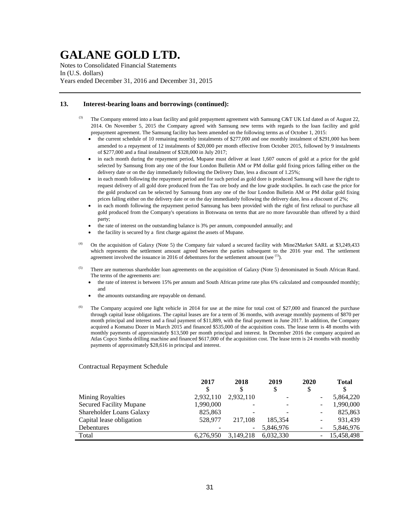Notes to Consolidated Financial Statements In (U.S. dollars) Years ended December 31, 2016 and December 31, 2015

### **13. Interest-bearing loans and borrowings (continued):**

- $^{(3)}$  The Company entered into a loan facility and gold prepayment agreement with Samsung C&T UK Ltd dated as of August 22, 2014. On November 5, 2015 the Company agreed with Samsung new terms with regards to the loan facility and gold prepayment agreement. The Samsung facility has been amended on the following terms as of October 1, 2015:
	- the current schedule of 10 remaining monthly instalments of \$277,000 and one monthly instalment of \$291,000 has been amended to a repayment of 12 instalments of \$20,000 per month effective from October 2015, followed by 9 instalments of \$277,000 and a final instalment of \$328,000 in July 2017;
	- in each month during the repayment period, Mupane must deliver at least 1,607 ounces of gold at a price for the gold selected by Samsung from any one of the four London Bulletin AM or PM dollar gold fixing prices falling either on the delivery date or on the day immediately following the Delivery Date, less a discount of 1.25%;
	- in each month following the repayment period and for such period as gold dore is produced Samsung will have the right to request delivery of all gold dore produced from the Tau ore body and the low grade stockpiles. In each case the price for the gold produced can be selected by Samsung from any one of the four London Bulletin AM or PM dollar gold fixing prices falling either on the delivery date or on the day immediately following the delivery date, less a discount of 2%;
	- in each month following the repayment period Samsung has been provided with the right of first refusal to purchase all gold produced from the Company's operations in Botswana on terms that are no more favourable than offered by a third party;
	- the rate of interest on the outstanding balance is 3% per annum, compounded annually; and
	- the facility is secured by a first charge against the assets of Mupane.
- (4) On the acquisition of Galaxy (Note 5) the Company fair valued a secured facility with Mine2Market SARL at \$3,249,433 which represents the settlement amount agreed between the parties subsequent to the 2016 year end. The settlement agreement involved the issuance in 2016 of debentures for the settlement amount (see  $<sup>(1)</sup>$ ).</sup>
- <sup>(5)</sup> There are numerous shareholder loan agreements on the acquisition of Galaxy (Note 5) denominated in South African Rand. The terms of the agreements are:
	- the rate of interest is between 15% per annum and South African prime rate plus 6% calculated and compounded monthly; and
	- the amounts outstanding are repayable on demand.
- The Company acquired one light vehicle in 2014 for use at the mine for total cost of \$27,000 and financed the purchase through capital lease obligations. The capital leases are for a term of 36 months, with average monthly payments of \$870 per month principal and interest and a final payment of \$11,889, with the final payment in June 2017. In addition, the Company acquired a Komatsu Dozer in March 2015 and financed \$535,000 of the acquisition costs. The lease term is 48 months with monthly payments of approximately \$13,500 per month principal and interest. In December 2016 the company acquired an Atlas Copco Simba drilling machine and financed \$617,000 of the acquisition cost. The lease term is 24 months with monthly payments of approximately \$28,616 in principal and interest.

#### Contractual Repayment Schedule

|                                | 2017      | 2018                     | 2019      | 2020                     | <b>Total</b> |
|--------------------------------|-----------|--------------------------|-----------|--------------------------|--------------|
|                                | \$        | \$                       | \$        |                          | \$           |
| <b>Mining Royalties</b>        | 2,932,110 | 2,932,110                |           |                          | 5,864,220    |
| <b>Secured Facility Mupane</b> | 1,990,000 | $\overline{\phantom{a}}$ | -         | $\overline{\phantom{0}}$ | 1,990,000    |
| Shareholder Loans Galaxy       | 825,863   | $\overline{\phantom{a}}$ |           | -                        | 825,863      |
| Capital lease obligation       | 528,977   | 217,108                  | 185.354   |                          | 931.439      |
| Debentures                     |           | $\overline{\phantom{a}}$ | 5,846,976 |                          | 5,846,976    |
| Total                          | 6,276,950 | 3,149,218                | 6.032.330 |                          | 15,458,498   |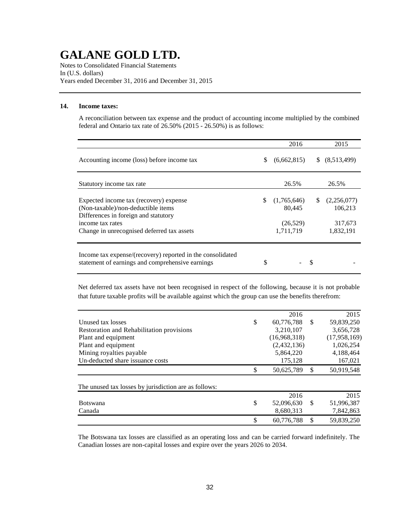Notes to Consolidated Financial Statements In (U.S. dollars) Years ended December 31, 2016 and December 31, 2015

### **14. Income taxes:**

A reconciliation between tax expense and the product of accounting income multiplied by the combined federal and Ontario tax rate of 26.50% (2015 - 26.50%) is as follows:

|                                                                                                                                                                                        | 2016                                                 |    | 2015                                           |
|----------------------------------------------------------------------------------------------------------------------------------------------------------------------------------------|------------------------------------------------------|----|------------------------------------------------|
| Accounting income (loss) before income tax                                                                                                                                             | \$<br>(6,662,815)                                    | S. | (8,513,499)                                    |
| Statutory income tax rate                                                                                                                                                              | 26.5%                                                |    | 26.5%                                          |
| Expected income tax (recovery) expense<br>(Non-taxable)/non-deductible items<br>Differences in foreign and statutory<br>income tax rates<br>Change in unrecognised deferred tax assets | \$<br>(1,765,646)<br>80.445<br>(26,529)<br>1,711,719 | \$ | (2,256,077)<br>106.213<br>317,673<br>1,832,191 |
| Income tax expense/(recovery) reported in the consolidated<br>statement of earnings and comprehensive earnings                                                                         | \$                                                   | S  |                                                |

Net deferred tax assets have not been recognised in respect of the following, because it is not probable that future taxable profits will be available against which the group can use the benefits therefrom:

|                                                       | 2016             |               | 2015         |
|-------------------------------------------------------|------------------|---------------|--------------|
| Unused tax losses                                     | \$<br>60,776,788 | S             | 59,839,250   |
| Restoration and Rehabilitation provisions             | 3,210,107        |               | 3,656,728    |
| Plant and equipment                                   | (16,968,318)     |               | (17,958,169) |
| Plant and equipment                                   | (2,432,136)      |               | 1,026,254    |
| Mining royalties payable                              | 5,864,220        |               | 4,188,464    |
| Un-deducted share issuance costs                      | 175,128          |               | 167,021      |
|                                                       | \$<br>50,625,789 | S             | 50,919,548   |
| The unused tax losses by jurisdiction are as follows: |                  |               |              |
|                                                       | 2016             |               | 2015         |
| <b>Botswana</b>                                       | \$<br>52,096,630 | <sup>\$</sup> | 51,996,387   |
| Canada                                                | 8,680,313        |               | 7,842,863    |
|                                                       | \$<br>60,776,788 | \$            | 59,839,250   |

The Botswana tax losses are classified as an operating loss and can be carried forward indefinitely. The Canadian losses are non-capital losses and expire over the years 2026 to 2034.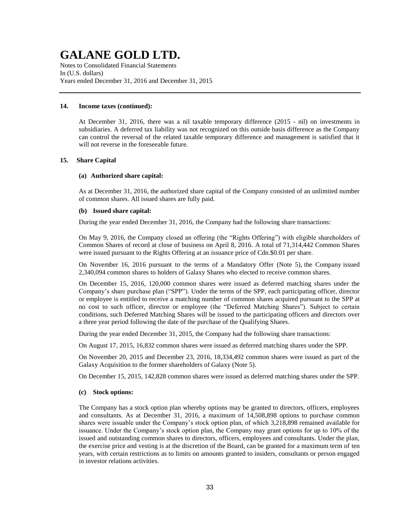Notes to Consolidated Financial Statements In (U.S. dollars) Years ended December 31, 2016 and December 31, 2015

### **14. Income taxes (continued):**

At December 31, 2016, there was a nil taxable temporary difference (2015 - nil) on investments in subsidiaries. A deferred tax liability was not recognized on this outside basis difference as the Company can control the reversal of the related taxable temporary difference and management is satisfied that it will not reverse in the foreseeable future.

#### **15. Share Capital**

### **(a) Authorized share capital:**

As at December 31, 2016, the authorized share capital of the Company consisted of an unlimited number of common shares. All issued shares are fully paid.

#### **(b) Issued share capital:**

During the year ended December 31, 2016, the Company had the following share transactions:

On May 9, 2016, the Company closed an offering (the "Rights Offering") with eligible shareholders of Common Shares of record at close of business on April 8, 2016. A total of 71,314,442 Common Shares were issued pursuant to the Rights Offering at an issuance price of Cdn.\$0.01 per share.

On November 16, 2016 pursuant to the terms of a Mandatory Offer (Note 5), the Company issued 2,340,094 common shares to holders of Galaxy Shares who elected to receive common shares.

On December 15, 2016, 120,000 common shares were issued as deferred matching shares under the Company's share purchase plan ("SPP"). Under the terms of the SPP, each participating officer, director or employee is entitled to receive a matching number of common shares acquired pursuant to the SPP at no cost to such officer, director or employee (the "Deferred Matching Shares"). Subject to certain conditions, such Deferred Matching Shares will be issued to the participating officers and directors over a three year period following the date of the purchase of the Qualifying Shares.

During the year ended December 31, 2015, the Company had the following share transactions:

On August 17, 2015, 16,832 common shares were issued as deferred matching shares under the SPP.

On November 20, 2015 and December 23, 2016, 18,334,492 common shares were issued as part of the Galaxy Acquisition to the former shareholders of Galaxy (Note 5).

On December 15, 2015, 142,828 common shares were issued as deferred matching shares under the SPP.

#### **(c) Stock options:**

The Company has a stock option plan whereby options may be granted to directors, officers, employees and consultants. As at December 31, 2016, a maximum of 14,508,898 options to purchase common shares were issuable under the Company's stock option plan, of which 3,218,898 remained available for issuance. Under the Company's stock option plan, the Company may grant options for up to 10% of the issued and outstanding common shares to directors, officers, employees and consultants. Under the plan, the exercise price and vesting is at the discretion of the Board, can be granted for a maximum term of ten years, with certain restrictions as to limits on amounts granted to insiders, consultants or person engaged in investor relations activities.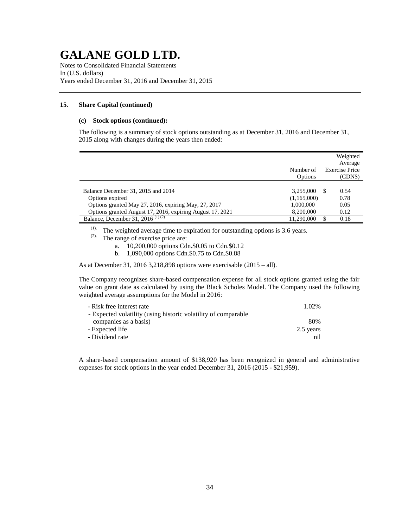Notes to Consolidated Financial Statements In (U.S. dollars) Years ended December 31, 2016 and December 31, 2015

### **15**. **Share Capital (continued)**

#### **(c) Stock options (continued):**

The following is a summary of stock options outstanding as at December 31, 2016 and December 31, 2015 along with changes during the years then ended:

|                                                                                                                                                                            | Number of                                          | Weighted<br>Average<br><b>Exercise Price</b> |
|----------------------------------------------------------------------------------------------------------------------------------------------------------------------------|----------------------------------------------------|----------------------------------------------|
|                                                                                                                                                                            | Options                                            | (CDN\$)                                      |
| Balance December 31, 2015 and 2014<br>Options expired<br>Options granted May 27, 2016, expiring May, 27, 2017<br>Options granted August 17, 2016, expiring August 17, 2021 | 3,255,000<br>(1,165,000)<br>1,000,000<br>8,200,000 | 0.54<br>S.<br>0.78<br>0.05<br>0.12           |
| Balance, December $31, 2016$ <sup>(1)(2)</sup>                                                                                                                             | 11.290.000                                         | 0.18                                         |

(1). The weighted average time to expiration for outstanding options is 3.6 years.

- (2). The range of exercise price are:
	- a. 10,200,000 options Cdn.\$0.05 to Cdn.\$0.12
	- b. 1,090,000 options Cdn.\$0.75 to Cdn.\$0.88

As at December 31, 2016 3,218,898 options were exercisable (2015 – all).

The Company recognizes share-based compensation expense for all stock options granted using the fair value on grant date as calculated by using the Black Scholes Model. The Company used the following weighted average assumptions for the Model in 2016:

| 1.02%     |
|-----------|
|           |
| 80%       |
| 2.5 years |
| nil       |
|           |

A share-based compensation amount of \$138,920 has been recognized in general and administrative expenses for stock options in the year ended December 31, 2016 (2015 - \$21,959).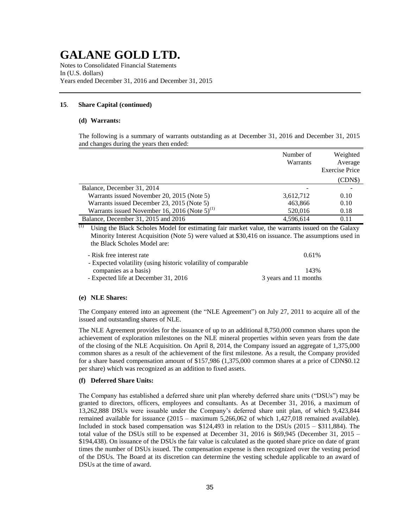Notes to Consolidated Financial Statements In (U.S. dollars) Years ended December 31, 2016 and December 31, 2015

### **15**. **Share Capital (continued)**

#### **(d) Warrants:**

The following is a summary of warrants outstanding as at December 31, 2016 and December 31, 2015 and changes during the years then ended:

|                                                      | Number of<br>Warrants | Weighted<br>Average<br><b>Exercise Price</b> |
|------------------------------------------------------|-----------------------|----------------------------------------------|
|                                                      |                       | (CDN\$)                                      |
| Balance, December 31, 2014                           |                       |                                              |
| Warrants issued November 20, 2015 (Note 5)           | 3,612,712             | 0.10                                         |
| Warrants issued December 23, 2015 (Note 5)           | 463,866               | 0.10                                         |
| Warrants issued November 16, 2016 (Note $5)^{(1)}$ ) | 520,016               | 0.18                                         |
| Balance, December 31, 2015 and 2016                  | 4.596.614             | 0.11                                         |

 $\overline{p}$  Using the Black Scholes Model for estimating fair market value, the warrants issued on the Galaxy Minority Interest Acquisition (Note 5) were valued at \$30,416 on issuance. The assumptions used in the Black Scholes Model are:

| - Risk free interest rate                                      | 0.61%                 |
|----------------------------------------------------------------|-----------------------|
| - Expected volatility (using historic volatility of comparable |                       |
| companies as a basis)                                          | 143%                  |
| - Expected life at December 31, 2016                           | 3 years and 11 months |

#### **(e) NLE Shares:**

The Company entered into an agreement (the "NLE Agreement") on July 27, 2011 to acquire all of the issued and outstanding shares of NLE.

The NLE Agreement provides for the issuance of up to an additional 8,750,000 common shares upon the achievement of exploration milestones on the NLE mineral properties within seven years from the date of the closing of the NLE Acquisition. On April 8, 2014, the Company issued an aggregate of 1,375,000 common shares as a result of the achievement of the first milestone. As a result, the Company provided for a share based compensation amount of \$157,986 (1,375,000 common shares at a price of CDN\$0.12 per share) which was recognized as an addition to fixed assets.

#### **(f) Deferred Share Units:**

The Company has established a deferred share unit plan whereby deferred share units ("DSUs") may be granted to directors, officers, employees and consultants. As at December 31, 2016, a maximum of 13,262,888 DSUs were issuable under the Company's deferred share unit plan, of which 9,423,844 remained available for issuance (2015 – maximum 5,266,062 of which 1,427,018 remained available). Included in stock based compensation was \$124,493 in relation to the DSUs (2015 – \$311,884). The total value of the DSUs still to be expensed at December 31, 2016 is \$69,945 (December 31, 2015 – \$194,438). On issuance of the DSUs the fair value is calculated as the quoted share price on date of grant times the number of DSUs issued. The compensation expense is then recognized over the vesting period of the DSUs. The Board at its discretion can determine the vesting schedule applicable to an award of DSUs at the time of award.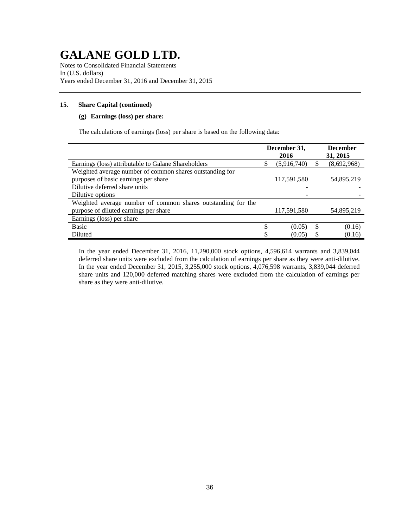Notes to Consolidated Financial Statements In (U.S. dollars) Years ended December 31, 2016 and December 31, 2015

### **15**. **Share Capital (continued)**

### **(g) Earnings (loss) per share:**

The calculations of earnings (loss) per share is based on the following data:

|                                                                                                                                   |    | December 31,<br>2016 | <b>December</b><br>31, 2015 |
|-----------------------------------------------------------------------------------------------------------------------------------|----|----------------------|-----------------------------|
| Earnings (loss) attributable to Galane Shareholders                                                                               | S  | (5,916,740)          | (8,692,968)                 |
| Weighted average number of common shares outstanding for<br>purposes of basic earnings per share<br>Dilutive deferred share units |    | 117,591,580          | 54,895,219                  |
| Dilutive options                                                                                                                  |    |                      |                             |
| Weighted average number of common shares outstanding for the                                                                      |    |                      |                             |
| purpose of diluted earnings per share                                                                                             |    | 117,591,580          | 54,895,219                  |
| Earnings (loss) per share                                                                                                         |    |                      |                             |
| <b>Basic</b>                                                                                                                      | \$ | (0.05)               | \$<br>(0.16)                |
| Diluted                                                                                                                           |    | (0.05)               | (0.16)                      |

In the year ended December 31, 2016, 11,290,000 stock options, 4,596,614 warrants and 3,839,044 deferred share units were excluded from the calculation of earnings per share as they were anti-dilutive. In the year ended December 31, 2015, 3,255,000 stock options, 4,076,598 warrants, 3,839,044 deferred share units and 120,000 deferred matching shares were excluded from the calculation of earnings per share as they were anti-dilutive.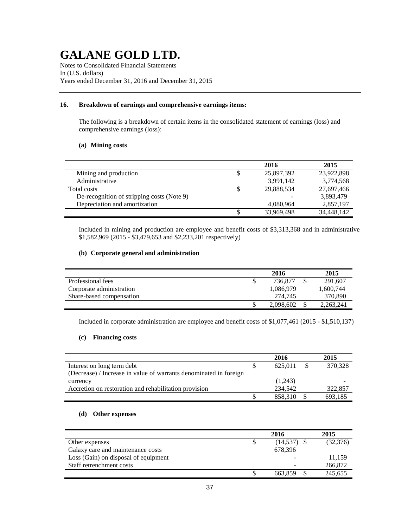Notes to Consolidated Financial Statements In (U.S. dollars) Years ended December 31, 2016 and December 31, 2015

### **16. Breakdown of earnings and comprehensive earnings items:**

The following is a breakdown of certain items in the consolidated statement of earnings (loss) and comprehensive earnings (loss):

### **(a) Mining costs**

|                                            | 2016       | 2015       |
|--------------------------------------------|------------|------------|
| Mining and production                      | 25,897,392 | 23,922,898 |
| Administrative                             | 3,991,142  | 3,774,568  |
| Total costs                                | 29,888,534 | 27,697,466 |
| De-recognition of stripping costs (Note 9) |            | 3,893,479  |
| Depreciation and amortization              | 4,080,964  | 2,857,197  |
|                                            | 33,969,498 | 34,448,142 |

Included in mining and production are employee and benefit costs of \$3,313,368 and in administrative \$1,582,969 (2015 - \$3,479,653 and \$2,233,201 respectively)

### **(b) Corporate general and administration**

|                          | 2016      | 2015      |
|--------------------------|-----------|-----------|
| Professional fees        | 736.877   | 291,607   |
| Corporate administration | 1.086.979 | 1,600,744 |
| Share-based compensation | 274.745   | 370,890   |
|                          | 2,098,602 | 2,263,241 |

Included in corporate administration are employee and benefit costs of \$1,077,461 (2015 - \$1,510,137)

### **(c) Financing costs**

|                                                                   | 2016    | 2015    |
|-------------------------------------------------------------------|---------|---------|
| Interest on long term debt                                        | 625,011 | 370,328 |
| (Decrease) / Increase in value of warrants denominated in foreign |         |         |
| currency                                                          | (1,243) |         |
| Accretion on restoration and rehabilitation provision             | 234,542 | 322,857 |
|                                                                   | 858.310 | 693.185 |

### **(d) Other expenses**

|                                      | 2016          | 2015      |
|--------------------------------------|---------------|-----------|
| Other expenses                       | $(14,537)$ \$ | (32, 376) |
| Galaxy care and maintenance costs    | 678,396       |           |
| Loss (Gain) on disposal of equipment |               | 11,159    |
| Staff retrenchment costs             | -             | 266,872   |
|                                      | 663.859       | 245,655   |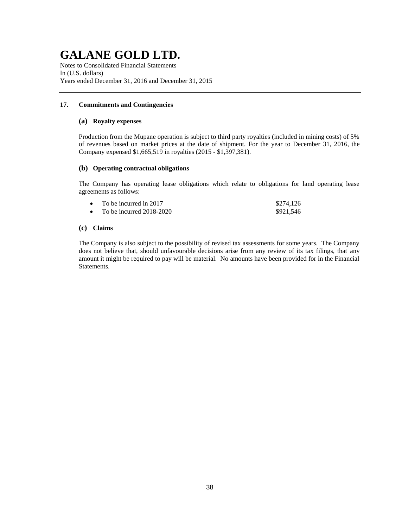Notes to Consolidated Financial Statements In (U.S. dollars) Years ended December 31, 2016 and December 31, 2015

### **17. Commitments and Contingencies**

### **(a) Royalty expenses**

Production from the Mupane operation is subject to third party royalties (included in mining costs) of 5% of revenues based on market prices at the date of shipment. For the year to December 31, 2016, the Company expensed \$1,665,519 in royalties (2015 - \$1,397,381).

### **(b) Operating contractual obligations**

The Company has operating lease obligations which relate to obligations for land operating lease agreements as follows:

| To be incurred in 2017     | \$274,126 |
|----------------------------|-----------|
| To be incurred $2018-2020$ | \$921,546 |

### **(c) Claims**

The Company is also subject to the possibility of revised tax assessments for some years. The Company does not believe that, should unfavourable decisions arise from any review of its tax filings, that any amount it might be required to pay will be material. No amounts have been provided for in the Financial Statements.